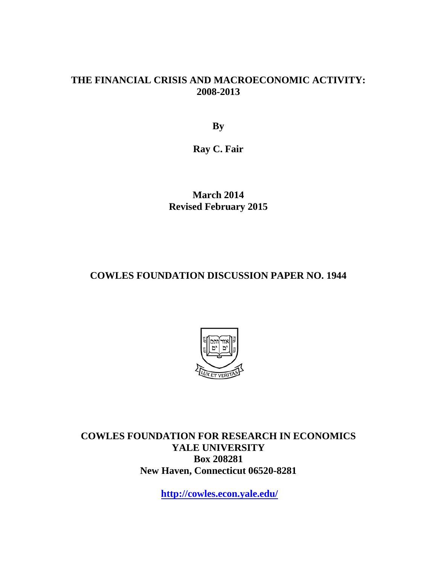#### **THE FINANCIAL CRISIS AND MACROECONOMIC ACTIVITY: 2008-2013**

**By**

**Ray C. Fair**

**March 2014 Revised February 2015**

#### **COWLES FOUNDATION DISCUSSION PAPER NO. 1944**



**COWLES FOUNDATION FOR RESEARCH IN ECONOMICS YALE UNIVERSITY Box 208281 New Haven, Connecticut 06520-8281**

**<http://cowles.econ.yale.edu/>**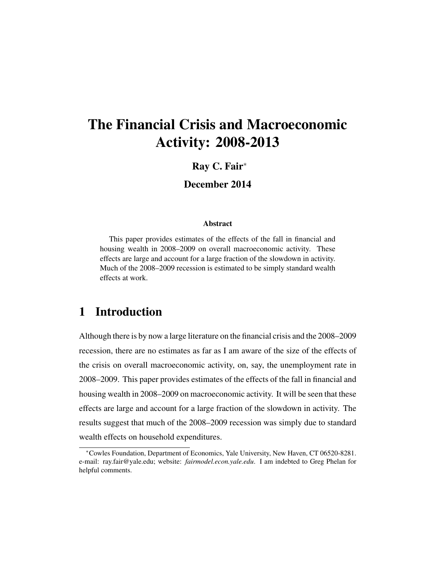# The Financial Crisis and Macroeconomic Activity: 2008-2013

#### Ray C. Fair<sup>∗</sup>

#### December 2014

#### **Abstract**

This paper provides estimates of the effects of the fall in financial and housing wealth in 2008–2009 on overall macroeconomic activity. These effects are large and account for a large fraction of the slowdown in activity. Much of the 2008–2009 recession is estimated to be simply standard wealth effects at work.

### 1 Introduction

Although there is by now a large literature on the financial crisis and the 2008–2009 recession, there are no estimates as far as I am aware of the size of the effects of the crisis on overall macroeconomic activity, on, say, the unemployment rate in 2008–2009. This paper provides estimates of the effects of the fall in financial and housing wealth in 2008–2009 on macroeconomic activity. It will be seen that these effects are large and account for a large fraction of the slowdown in activity. The results suggest that much of the 2008–2009 recession was simply due to standard wealth effects on household expenditures.

<sup>∗</sup>Cowles Foundation, Department of Economics, Yale University, New Haven, CT 06520-8281. e-mail: ray.fair@yale.edu; website: *fairmodel.econ.yale.edu*. I am indebted to Greg Phelan for helpful comments.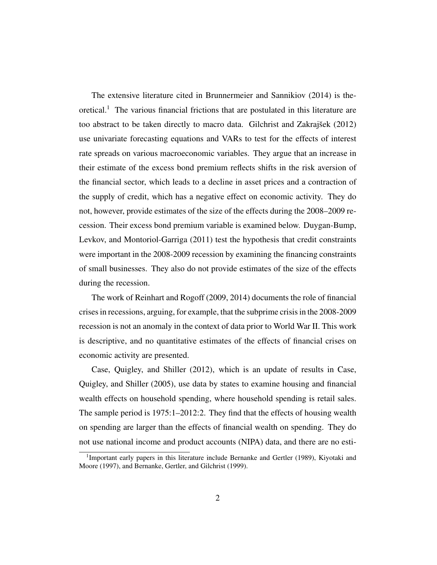The extensive literature cited in Brunnermeier and Sannikiov (2014) is the- $\alpha$  oretical.<sup>1</sup> The various financial frictions that are postulated in this literature are too abstract to be taken directly to macro data. Gilchrist and Zakrajšek  $(2012)$ use univariate forecasting equations and VARs to test for the effects of interest rate spreads on various macroeconomic variables. They argue that an increase in their estimate of the excess bond premium reflects shifts in the risk aversion of the financial sector, which leads to a decline in asset prices and a contraction of the supply of credit, which has a negative effect on economic activity. They do not, however, provide estimates of the size of the effects during the 2008–2009 recession. Their excess bond premium variable is examined below. Duygan-Bump, Levkov, and Montoriol-Garriga (2011) test the hypothesis that credit constraints were important in the 2008-2009 recession by examining the financing constraints of small businesses. They also do not provide estimates of the size of the effects during the recession.

The work of Reinhart and Rogoff (2009, 2014) documents the role of financial crises in recessions, arguing, for example, that the subprime crisis in the 2008-2009 recession is not an anomaly in the context of data prior to World War II. This work is descriptive, and no quantitative estimates of the effects of financial crises on economic activity are presented.

Case, Quigley, and Shiller (2012), which is an update of results in Case, Quigley, and Shiller (2005), use data by states to examine housing and financial wealth effects on household spending, where household spending is retail sales. The sample period is 1975:1–2012:2. They find that the effects of housing wealth on spending are larger than the effects of financial wealth on spending. They do not use national income and product accounts (NIPA) data, and there are no esti-

<sup>&</sup>lt;sup>1</sup>Important early papers in this literature include Bernanke and Gertler (1989), Kiyotaki and Moore (1997), and Bernanke, Gertler, and Gilchrist (1999).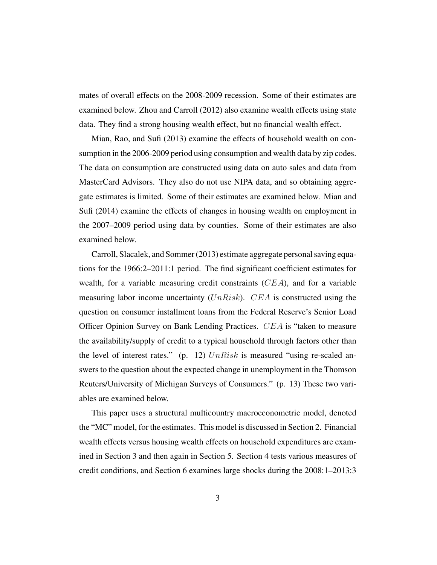mates of overall effects on the 2008-2009 recession. Some of their estimates are examined below. Zhou and Carroll (2012) also examine wealth effects using state data. They find a strong housing wealth effect, but no financial wealth effect.

Mian, Rao, and Sufi (2013) examine the effects of household wealth on consumption in the 2006-2009 period using consumption and wealth data by zip codes. The data on consumption are constructed using data on auto sales and data from MasterCard Advisors. They also do not use NIPA data, and so obtaining aggregate estimates is limited. Some of their estimates are examined below. Mian and Sufi (2014) examine the effects of changes in housing wealth on employment in the 2007–2009 period using data by counties. Some of their estimates are also examined below.

Carroll, Slacalek, and Sommer (2013) estimate aggregate personal saving equations for the 1966:2–2011:1 period. The find significant coefficient estimates for wealth, for a variable measuring credit constraints (CEA), and for a variable measuring labor income uncertainty  $(UnRisk)$ . CEA is constructed using the question on consumer installment loans from the Federal Reserve's Senior Load Officer Opinion Survey on Bank Lending Practices. CEA is "taken to measure the availability/supply of credit to a typical household through factors other than the level of interest rates." (p. 12)  $UnRisk$  is measured "using re-scaled answers to the question about the expected change in unemployment in the Thomson Reuters/University of Michigan Surveys of Consumers." (p. 13) These two variables are examined below.

This paper uses a structural multicountry macroeconometric model, denoted the "MC" model, for the estimates. This model is discussed in Section 2. Financial wealth effects versus housing wealth effects on household expenditures are examined in Section 3 and then again in Section 5. Section 4 tests various measures of credit conditions, and Section 6 examines large shocks during the 2008:1–2013:3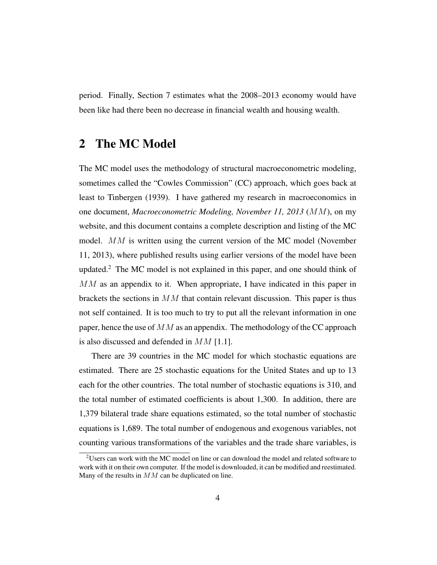period. Finally, Section 7 estimates what the 2008–2013 economy would have been like had there been no decrease in financial wealth and housing wealth.

### 2 The MC Model

The MC model uses the methodology of structural macroeconometric modeling, sometimes called the "Cowles Commission" (CC) approach, which goes back at least to Tinbergen (1939). I have gathered my research in macroeconomics in one document, *Macroeconometric Modeling, November 11, 2013* (MM), on my website, and this document contains a complete description and listing of the MC model. MM is written using the current version of the MC model (November 11, 2013), where published results using earlier versions of the model have been updated.<sup>2</sup> The MC model is not explained in this paper, and one should think of MM as an appendix to it. When appropriate, I have indicated in this paper in brackets the sections in  $MM$  that contain relevant discussion. This paper is thus not self contained. It is too much to try to put all the relevant information in one paper, hence the use of  $MM$  as an appendix. The methodology of the CC approach is also discussed and defended in  $MM$  [1.1].

There are 39 countries in the MC model for which stochastic equations are estimated. There are 25 stochastic equations for the United States and up to 13 each for the other countries. The total number of stochastic equations is 310, and the total number of estimated coefficients is about 1,300. In addition, there are 1,379 bilateral trade share equations estimated, so the total number of stochastic equations is 1,689. The total number of endogenous and exogenous variables, not counting various transformations of the variables and the trade share variables, is

<sup>&</sup>lt;sup>2</sup>Users can work with the MC model on line or can download the model and related software to work with it on their own computer. If the model is downloaded, it can be modified and reestimated. Many of the results in MM can be duplicated on line.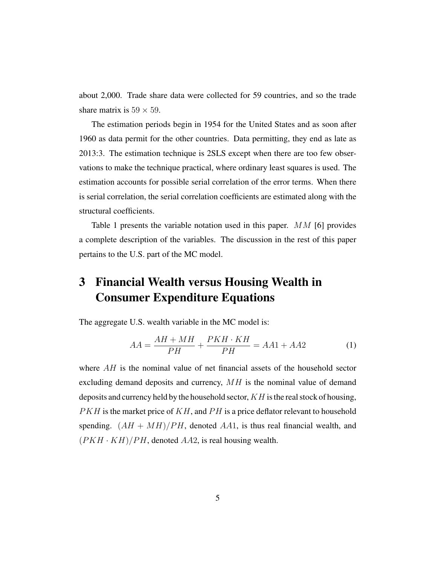about 2,000. Trade share data were collected for 59 countries, and so the trade share matrix is  $59 \times 59$ .

The estimation periods begin in 1954 for the United States and as soon after 1960 as data permit for the other countries. Data permitting, they end as late as 2013:3. The estimation technique is 2SLS except when there are too few observations to make the technique practical, where ordinary least squares is used. The estimation accounts for possible serial correlation of the error terms. When there is serial correlation, the serial correlation coefficients are estimated along with the structural coefficients.

Table 1 presents the variable notation used in this paper.  $MM$  [6] provides a complete description of the variables. The discussion in the rest of this paper pertains to the U.S. part of the MC model.

## 3 Financial Wealth versus Housing Wealth in Consumer Expenditure Equations

The aggregate U.S. wealth variable in the MC model is:

$$
AA = \frac{AH + MH}{PH} + \frac{PKH \cdot KH}{PH} = AA1 + AA2 \tag{1}
$$

where  $AH$  is the nominal value of net financial assets of the household sector excluding demand deposits and currency,  $MH$  is the nominal value of demand deposits and currency held by the household sector,  $KH$  is the real stock of housing,  $PKH$  is the market price of  $KH$ , and  $PH$  is a price deflator relevant to household spending.  $(AH + MH)/PH$ , denoted AA1, is thus real financial wealth, and  $(PKH \cdot KH)/PH$ , denoted AA2, is real housing wealth.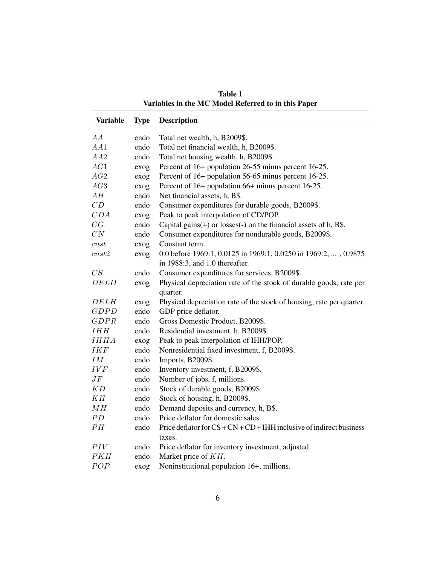| <b>Variable</b>    | <b>Type</b> | <b>Description</b>                                                     |
|--------------------|-------------|------------------------------------------------------------------------|
| AA                 | endo        | Total net wealth, h, B2009\$.                                          |
| AA1                | endo        | Total net financial wealth, h, B2009\$.                                |
| AA2                | endo        | Total net housing wealth, h, B2009\$.                                  |
| AG1                | exog        | Percent of 16+ population 26-55 minus percent 16-25.                   |
| AG2                | exog        | Percent of 16+ population 56-65 minus percent 16-25.                   |
| AG3                | exog        | Percent of 16+ population 66+ minus percent 16-25.                     |
| AH                 | endo        | Net financial assets, h, B\$.                                          |
| CD                 | endo        | Consumer expenditures for durable goods, B2009\$.                      |
| CDA                | exog        | Peak to peak interpolation of CD/POP.                                  |
| CG                 | endo        | Capital gains $(+)$ or losses $(-)$ on the financial assets of h, B\$. |
| CN                 | endo        | Consumer expenditures for nondurable goods, B2009\$.                   |
| cnst               | exog        | Constant term.                                                         |
| $cnst2$            | exog        | 0.0 before 1969:1, 0.0125 in 1969:1, 0.0250 in 1969:2, , 0.9875        |
|                    |             | in 1988:3, and 1.0 thereafter.                                         |
| CS                 | endo        | Consumer expenditures for services, B2009\$.                           |
| <b>DELD</b>        | exog        | Physical depreciation rate of the stock of durable goods, rate per     |
|                    |             | quarter.                                                               |
| <b>DELH</b>        | exog        | Physical depreciation rate of the stock of housing, rate per quarter.  |
| <b>GDPD</b>        | endo        | GDP price deflator.                                                    |
| GDPR               | endo        | Gross Domestic Product, B2009\$.                                       |
| IHH                | endo        | Residential investment, h, B2009\$.                                    |
| <b>IHHA</b>        | exog        | Peak to peak interpolation of IHH/POP.                                 |
| <b>IKF</b>         | endo        | Nonresidential fixed investment, f, B2009\$.                           |
| ${\cal I}{\cal M}$ | endo        | Imports, B2009\$.                                                      |
| <b>IVF</b>         | endo        | Inventory investment, f, B2009\$.                                      |
| $J\bar{F}$         | endo        | Number of jobs, f, millions.                                           |
| KD                 | endo        | Stock of durable goods, B2009\$                                        |
| KH                 | endo        | Stock of housing, h, B2009\$.                                          |
| MH                 | endo        | Demand deposits and currency, h, B\$.                                  |
| PD                 | endo        | Price deflator for domestic sales.                                     |
| PH                 | endo        | Price deflator for $CS + CN + CD + IHH$ inclusive of indirect business |
|                    |             | taxes.                                                                 |
| PIV                | endo        | Price deflator for inventory investment, adjusted.                     |
| PKH                | endo        | Market price of KH.                                                    |
| POP                | exog        | Noninstitutional population 16+, millions.                             |

Table 1 Variables in the MC Model Referred to in this Paper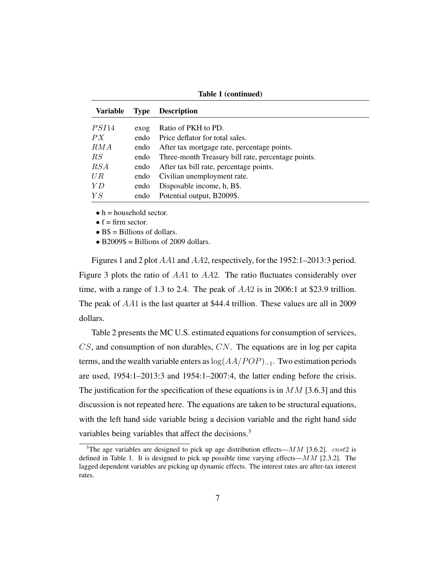| Variable      | <b>Type</b> | <b>Description</b>                                 |
|---------------|-------------|----------------------------------------------------|
| <i>PSI</i> 14 | exog        | Ratio of PKH to PD.                                |
| PX            | endo        | Price deflator for total sales.                    |
| RMA           | endo        | After tax mortgage rate, percentage points.        |
| RS            | endo        | Three-month Treasury bill rate, percentage points. |
| RSA           | endo        | After tax bill rate, percentage points.            |
| UR            | endo        | Civilian unemployment rate.                        |
| Y D           | endo        | Disposable income, h, B\$.                         |
| YS            | endo        | Potential output, B2009\$.                         |

Table 1 (continued)

 $\bullet$  h = household sector.

 $\bullet$  f = firm sector.

 $\bullet$  B\$ = Billions of dollars.

 $\bullet$  B2009\$ = Billions of 2009 dollars.

Figures 1 and 2 plot AA1 and AA2, respectively, for the 1952:1–2013:3 period. Figure 3 plots the ratio of AA1 to AA2. The ratio fluctuates considerably over time, with a range of 1.3 to 2.4. The peak of AA2 is in 2006:1 at \$23.9 trillion. The peak of AA1 is the last quarter at \$44.4 trillion. These values are all in 2009 dollars.

Table 2 presents the MC U.S. estimated equations for consumption of services,  $CS$ , and consumption of non durables,  $CN$ . The equations are in log per capita terms, and the wealth variable enters as  $log(AA/POP)_{-1}$ . Two estimation periods are used, 1954:1–2013:3 and 1954:1–2007:4, the latter ending before the crisis. The justification for the specification of these equations is in  $MM$  [3.6.3] and this discussion is not repeated here. The equations are taken to be structural equations, with the left hand side variable being a decision variable and the right hand side variables being variables that affect the decisions.<sup>3</sup>

<sup>&</sup>lt;sup>3</sup>The age variables are designed to pick up age distribution effects— $MM$  [3.6.2]. cnst2 is defined in Table 1. It is designed to pick up possible time varying effects— $MM$  [2.3.2]. The lagged dependent variables are picking up dynamic effects. The interest rates are after-tax interest rates.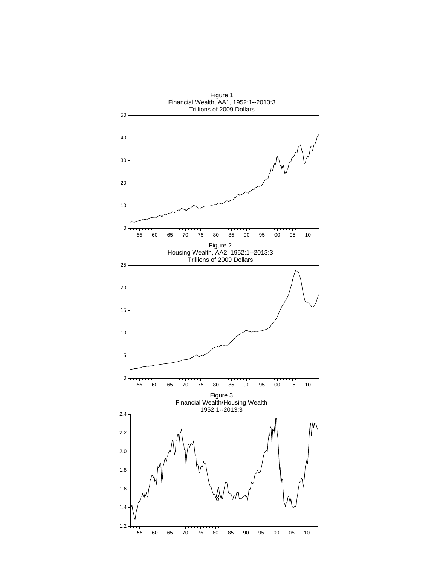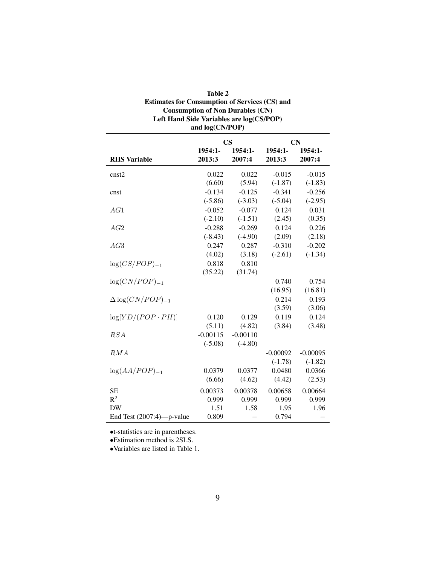| <b>Table 2</b>                                        |
|-------------------------------------------------------|
| <b>Estimates for Consumption of Services (CS) and</b> |
| <b>Consumption of Non Durables (CN)</b>               |
| Left Hand Side Variables are log(CS/POP)              |
| and log(CN/POP)                                       |

|                              | $\mathbf{CS}$ |            | <b>CN</b>  |            |
|------------------------------|---------------|------------|------------|------------|
|                              | 1954:1-       | 1954:1-    | 1954:1-    | 1954:1-    |
| <b>RHS</b> Variable          | 2013:3        | 2007:4     | 2013:3     | 2007:4     |
| cnst2                        | 0.022         | 0.022      | $-0.015$   | $-0.015$   |
|                              | (6.60)        | (5.94)     | $(-1.87)$  | $(-1.83)$  |
| cnst                         | $-0.134$      | $-0.125$   | $-0.341$   | $-0.256$   |
|                              | $(-5.86)$     | $(-3.03)$  | $(-5.04)$  | $(-2.95)$  |
| AG1                          | $-0.052$      | $-0.077$   | 0.124      | 0.031      |
|                              | $(-2.10)$     | $(-1.51)$  | (2.45)     | (0.35)     |
| AG2                          | $-0.288$      | $-0.269$   | 0.124      | 0.226      |
|                              | $(-8.43)$     | $(-4.90)$  | (2.09)     | (2.18)     |
| AG3                          | 0.247         | 0.287      | $-0.310$   | $-0.202$   |
|                              | (4.02)        | (3.18)     | $(-2.61)$  | $(-1.34)$  |
| $log(CS/POP)_{-1}$           | 0.818         | 0.810      |            |            |
|                              | (35.22)       | (31.74)    |            |            |
| $log(CN/POP)_{-1}$           |               |            | 0.740      | 0.754      |
|                              |               |            | (16.95)    | (16.81)    |
| $\Delta \log(CN/POP)_{-1}$   |               |            | 0.214      | 0.193      |
|                              |               |            | (3.59)     | (3.06)     |
| $log[YD/(POP \cdot PH)]$     | 0.120         | 0.129      | 0.119      | 0.124      |
|                              | (5.11)        | (4.82)     | (3.84)     | (3.48)     |
| RSA                          | $-0.00115$    | $-0.00110$ |            |            |
|                              | $(-5.08)$     | $(-4.80)$  |            |            |
| RMA                          |               |            | $-0.00092$ | $-0.00095$ |
|                              |               |            | $(-1.78)$  | $(-1.82)$  |
| $log(AA/POP)_{-1}$           | 0.0379        | 0.0377     | 0.0480     | 0.0366     |
|                              | (6.66)        | (4.62)     | (4.42)     | (2.53)     |
| <b>SE</b>                    | 0.00373       | 0.00378    | 0.00658    | 0.00664    |
| $R^2$                        | 0.999         | 0.999      | 0.999      | 0.999      |
| <b>DW</b>                    | 1.51          | 1.58       | 1.95       | 1.96       |
| End Test $(2007:4)$ —p-value | 0.809         |            | 0.794      |            |

•t-statistics are in parentheses.

•Estimation method is 2SLS.

•Variables are listed in Table 1.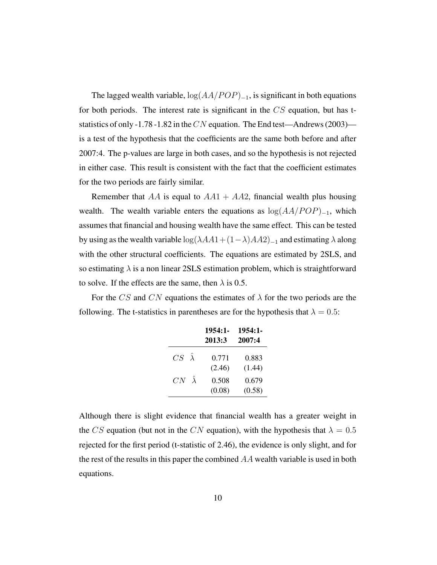The lagged wealth variable,  $log(AA/POP)_{-1}$ , is significant in both equations for both periods. The interest rate is significant in the  $CS$  equation, but has tstatistics of only -1.78 -1.82 in the CN equation. The End test—Andrews (2003) is a test of the hypothesis that the coefficients are the same both before and after 2007:4. The p-values are large in both cases, and so the hypothesis is not rejected in either case. This result is consistent with the fact that the coefficient estimates for the two periods are fairly similar.

Remember that AA is equal to  $AA1 + AA2$ , financial wealth plus housing wealth. The wealth variable enters the equations as  $\log(AA/POP)_{-1}$ , which assumes that financial and housing wealth have the same effect. This can be tested by using as the wealth variable  $\log(\lambda AA1+(1-\lambda)AA2)_{-1}$  and estimating  $\lambda$  along with the other structural coefficients. The equations are estimated by 2SLS, and so estimating  $\lambda$  is a non linear 2SLS estimation problem, which is straightforward to solve. If the effects are the same, then  $\lambda$  is 0.5.

For the CS and CN equations the estimates of  $\lambda$  for the two periods are the following. The t-statistics in parentheses are for the hypothesis that  $\lambda = 0.5$ :

|                      | $1954:1-$<br>2013:3 | 1954:1-<br>2007:4 |
|----------------------|---------------------|-------------------|
| $CS \ \hat{\lambda}$ | 0.771<br>(2.46)     | 0.883<br>(1.44)   |
| $CN \hat{\lambda}$   | 0.508<br>(0.08)     | 0.679<br>(0.58)   |

Although there is slight evidence that financial wealth has a greater weight in the CS equation (but not in the CN equation), with the hypothesis that  $\lambda = 0.5$ rejected for the first period (t-statistic of 2.46), the evidence is only slight, and for the rest of the results in this paper the combined  $AA$  wealth variable is used in both equations.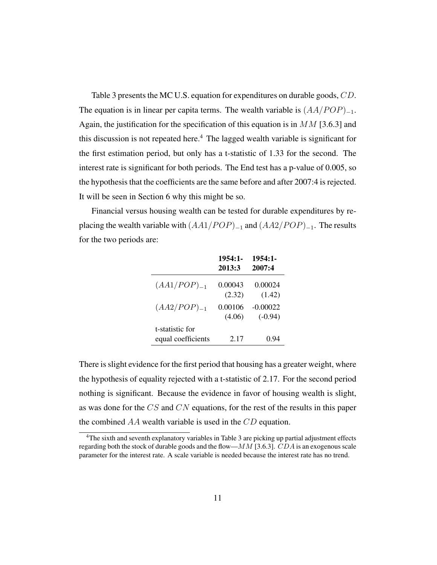Table 3 presents the MC U.S. equation for expenditures on durable goods, CD. The equation is in linear per capita terms. The wealth variable is  $(AA/POP)_{-1}$ . Again, the justification for the specification of this equation is in  $MM$  [3.6.3] and this discussion is not repeated here.<sup>4</sup> The lagged wealth variable is significant for the first estimation period, but only has a t-statistic of 1.33 for the second. The interest rate is significant for both periods. The End test has a p-value of 0.005, so the hypothesis that the coefficients are the same before and after 2007:4 is rejected. It will be seen in Section 6 why this might be so.

Financial versus housing wealth can be tested for durable expenditures by replacing the wealth variable with  $(AA1/POP)_{-1}$  and  $(AA2/POP)_{-1}$ . The results for the two periods are:

|                                       | 1954:1-<br>2013:3 | $1954:1-$<br>2007:4     |
|---------------------------------------|-------------------|-------------------------|
| $(AA1/POP)_{-1}$                      | 0.00043<br>(2.32) | 0.00024<br>(1.42)       |
| $(AA2/POP)_{-1}$                      | 0.00106<br>(4.06) | $-0.00022$<br>$(-0.94)$ |
| t-statistic for<br>equal coefficients | 2.17              | 0.94                    |

There is slight evidence for the first period that housing has a greater weight, where the hypothesis of equality rejected with a t-statistic of 2.17. For the second period nothing is significant. Because the evidence in favor of housing wealth is slight, as was done for the CS and CN equations, for the rest of the results in this paper the combined AA wealth variable is used in the CD equation.

<sup>4</sup>The sixth and seventh explanatory variables in Table 3 are picking up partial adjustment effects regarding both the stock of durable goods and the flow— $MM$  [3.6.3].  $CDA$  is an exogenous scale parameter for the interest rate. A scale variable is needed because the interest rate has no trend.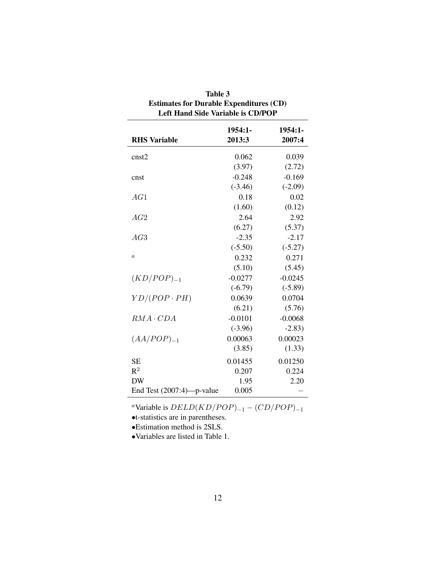| <b>Left Hand Side Variable is CD/POP</b> |                     |                   |  |  |
|------------------------------------------|---------------------|-------------------|--|--|
| <b>RHS</b> Variable                      | $1954:1-$<br>2013:3 | 1954:1-<br>2007:4 |  |  |
| cnst2                                    | 0.062               | 0.039             |  |  |
|                                          | (3.97)              | (2.72)            |  |  |
| cnst                                     | $-0.248$            | $-0.169$          |  |  |
|                                          | $(-3.46)$           | $(-2.09)$         |  |  |
| AG1                                      | 0.18                | 0.02              |  |  |
|                                          | (1.60)              | (0.12)            |  |  |
| AG2                                      | 2.64                | 2.92              |  |  |
|                                          | (6.27)              | (5.37)            |  |  |
| AG3                                      | $-2.35$             | $-2.17$           |  |  |
|                                          | $(-5.50)$           | $(-5.27)$         |  |  |
| $\boldsymbol{a}$                         | 0.232               | 0.271             |  |  |
|                                          | (5.10)              | (5.45)            |  |  |
| $(KD/POP)_{-1}$                          | $-0.0277$           | $-0.0245$         |  |  |
|                                          | $(-6.79)$           | $(-5.89)$         |  |  |
| $YD/(POP \cdot PH)$                      | 0.0639              | 0.0704            |  |  |
|                                          | (6.21)              | (5.76)            |  |  |
| $RMA \cdot CDA$                          | $-0.0101$           | $-0.0068$         |  |  |
|                                          | $(-3.96)$           | $-2.83)$          |  |  |
| $(AA/POP)_{-1}$                          | 0.00063             | 0.00023           |  |  |
|                                          | (3.85)              | (1.33)            |  |  |
| <b>SE</b>                                | 0.01455             | 0.01250           |  |  |
| $R^2$                                    | 0.207               | 0.224             |  |  |
| <b>DW</b>                                | 1.95                | 2.20              |  |  |
| End Test (2007:4)-p-value                | 0.005               |                   |  |  |

| Table 3                                        |
|------------------------------------------------|
| <b>Estimates for Durable Expenditures (CD)</b> |
| <b>Left Hand Side Variable is CD/POP</b>       |

<sup>a</sup>Variable is  $DELD(KD/POP)_{-1} - (CD/POP)_{-1}$ 

•t-statistics are in parentheses.

•Estimation method is 2SLS.

•Variables are listed in Table 1.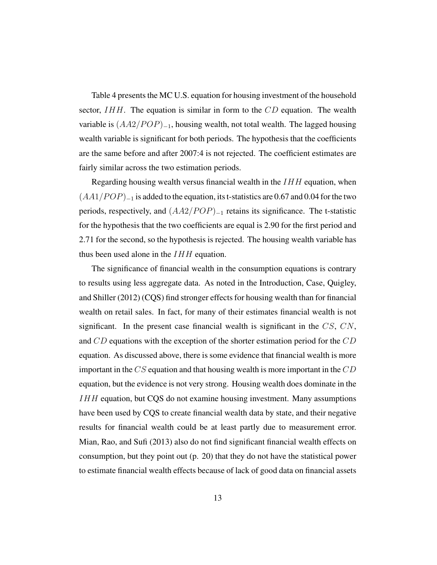Table 4 presents the MC U.S. equation for housing investment of the household sector,  $IHH$ . The equation is similar in form to the  $CD$  equation. The wealth variable is  $(AA2/POP)_{-1}$ , housing wealth, not total wealth. The lagged housing wealth variable is significant for both periods. The hypothesis that the coefficients are the same before and after 2007:4 is not rejected. The coefficient estimates are fairly similar across the two estimation periods.

Regarding housing wealth versus financial wealth in the  $IHH$  equation, when  $(AA1/POP)_{-1}$  is added to the equation, its t-statistics are 0.67 and 0.04 for the two periods, respectively, and  $(AA2/POP)_{-1}$  retains its significance. The t-statistic for the hypothesis that the two coefficients are equal is 2.90 for the first period and 2.71 for the second, so the hypothesis is rejected. The housing wealth variable has thus been used alone in the  $IHH$  equation.

The significance of financial wealth in the consumption equations is contrary to results using less aggregate data. As noted in the Introduction, Case, Quigley, and Shiller (2012) (CQS) find stronger effects for housing wealth than for financial wealth on retail sales. In fact, for many of their estimates financial wealth is not significant. In the present case financial wealth is significant in the  $CS$ ,  $CN$ , and CD equations with the exception of the shorter estimation period for the CD equation. As discussed above, there is some evidence that financial wealth is more important in the  $CS$  equation and that housing wealth is more important in the  $CD$ equation, but the evidence is not very strong. Housing wealth does dominate in the IHH equation, but CQS do not examine housing investment. Many assumptions have been used by CQS to create financial wealth data by state, and their negative results for financial wealth could be at least partly due to measurement error. Mian, Rao, and Sufi (2013) also do not find significant financial wealth effects on consumption, but they point out (p. 20) that they do not have the statistical power to estimate financial wealth effects because of lack of good data on financial assets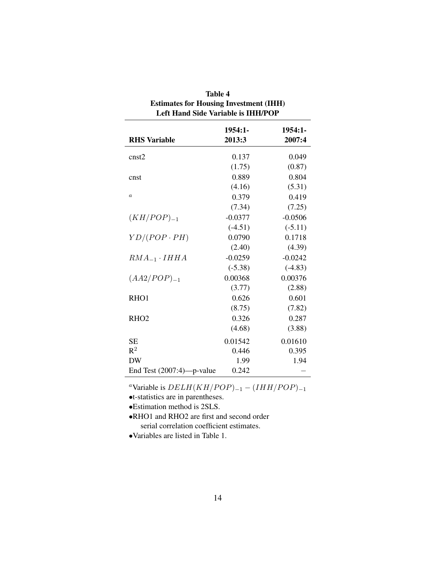| <b>Estimates for Housing Investment (IHH)</b><br><b>Left Hand Side Variable is IHH/POP</b> |                   |                   |  |  |
|--------------------------------------------------------------------------------------------|-------------------|-------------------|--|--|
| <b>RHS Variable</b>                                                                        | 1954:1-<br>2013:3 | 1954:1-<br>2007:4 |  |  |
| cnst2                                                                                      | 0.137             | 0.049             |  |  |
|                                                                                            | (1.75)            | (0.87)            |  |  |
| cnst                                                                                       | 0.889             | 0.804             |  |  |
|                                                                                            | (4.16)            | (5.31)            |  |  |
| $\boldsymbol{a}$                                                                           | 0.379             | 0.419             |  |  |
|                                                                                            | (7.34)            | (7.25)            |  |  |
| $(KH/POP)_{-1}$                                                                            | $-0.0377$         | $-0.0506$         |  |  |
|                                                                                            | $(-4.51)$         | $(-5.11)$         |  |  |
| $YD/(POP \cdot PH)$                                                                        | 0.0790            | 0.1718            |  |  |
|                                                                                            | (2.40)            | (4.39)            |  |  |
| $RMA_{-1} \cdot IHHA$                                                                      | $-0.0259$         | $-0.0242$         |  |  |
|                                                                                            | $(-5.38)$         | $(-4.83)$         |  |  |
| $(AA2/POP)_{-1}$                                                                           | 0.00368           | 0.00376           |  |  |
|                                                                                            | (3.77)            | (2.88)            |  |  |
| RHO1                                                                                       | 0.626             | 0.601             |  |  |
|                                                                                            | (8.75)            | (7.82)            |  |  |
| RHO <sub>2</sub>                                                                           | 0.326             | 0.287             |  |  |
|                                                                                            | (4.68)            | (3.88)            |  |  |
| <b>SE</b>                                                                                  | 0.01542           | 0.01610           |  |  |
| $R^2$                                                                                      | 0.446             | 0.395             |  |  |
| <b>DW</b>                                                                                  | 1.99              | 1.94              |  |  |
| End Test $(2007:4)$ —p-value                                                               | 0.242             |                   |  |  |

Table 4

| <sup>a</sup> Variable is $DELH(KH/POP)_{-1} - (IHH/POP)_{-1}$ |  |  |
|---------------------------------------------------------------|--|--|
|---------------------------------------------------------------|--|--|

•t-statistics are in parentheses.

•Estimation method is 2SLS.

•RHO1 and RHO2 are first and second order serial correlation coefficient estimates.

•Variables are listed in Table 1.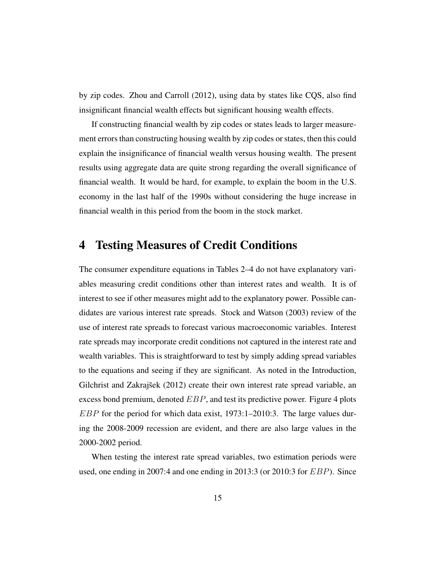by zip codes. Zhou and Carroll (2012), using data by states like CQS, also find insignificant financial wealth effects but significant housing wealth effects.

If constructing financial wealth by zip codes or states leads to larger measurement errors than constructing housing wealth by zip codes or states, then this could explain the insignificance of financial wealth versus housing wealth. The present results using aggregate data are quite strong regarding the overall significance of financial wealth. It would be hard, for example, to explain the boom in the U.S. economy in the last half of the 1990s without considering the huge increase in financial wealth in this period from the boom in the stock market.

#### 4 Testing Measures of Credit Conditions

The consumer expenditure equations in Tables 2–4 do not have explanatory variables measuring credit conditions other than interest rates and wealth. It is of interest to see if other measures might add to the explanatory power. Possible candidates are various interest rate spreads. Stock and Watson (2003) review of the use of interest rate spreads to forecast various macroeconomic variables. Interest rate spreads may incorporate credit conditions not captured in the interest rate and wealth variables. This is straightforward to test by simply adding spread variables to the equations and seeing if they are significant. As noted in the Introduction, Gilchrist and Zakrajšek (2012) create their own interest rate spread variable, an excess bond premium, denoted  $EBP$ , and test its predictive power. Figure 4 plots  $EBP$  for the period for which data exist, 1973:1–2010:3. The large values during the 2008-2009 recession are evident, and there are also large values in the 2000-2002 period.

When testing the interest rate spread variables, two estimation periods were used, one ending in 2007:4 and one ending in 2013:3 (or 2010:3 for EBP). Since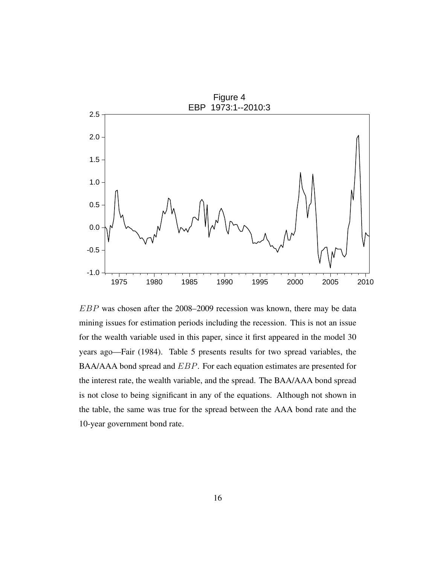

EBP was chosen after the 2008–2009 recession was known, there may be data mining issues for estimation periods including the recession. This is not an issue for the wealth variable used in this paper, since it first appeared in the model 30 years ago—Fair (1984). Table 5 presents results for two spread variables, the BAA/AAA bond spread and EBP. For each equation estimates are presented for the interest rate, the wealth variable, and the spread. The BAA/AAA bond spread is not close to being significant in any of the equations. Although not shown in the table, the same was true for the spread between the AAA bond rate and the 10-year government bond rate.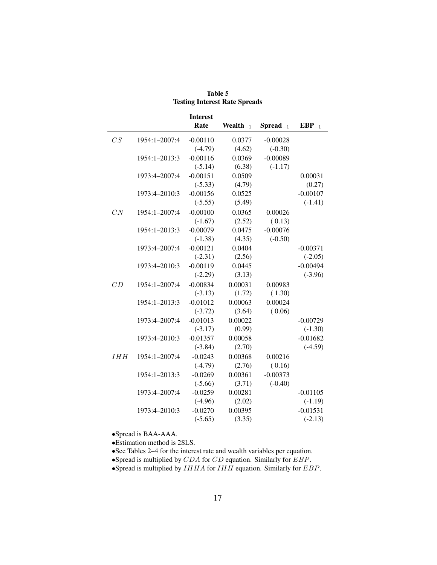|            |               | <b>Interest</b> |                |                   |            |
|------------|---------------|-----------------|----------------|-------------------|------------|
|            |               | Rate            | Wealth $_{-1}$ | $S$ pread $_{-1}$ | $EBP_{-1}$ |
| CS         | 1954:1-2007:4 | $-0.00110$      | 0.0377         | $-0.00028$        |            |
|            |               | $(-4.79)$       | (4.62)         | $(-0.30)$         |            |
|            | 1954:1-2013:3 | $-0.00116$      | 0.0369         | $-0.00089$        |            |
|            |               | $(-5.14)$       | (6.38)         | $(-1.17)$         |            |
|            | 1973:4-2007:4 | $-0.00151$      | 0.0509         |                   | 0.00031    |
|            |               | $(-5.33)$       | (4.79)         |                   | (0.27)     |
|            | 1973:4-2010:3 | $-0.00156$      | 0.0525         |                   | $-0.00107$ |
|            |               | $(-5.55)$       | (5.49)         |                   | $(-1.41)$  |
| CN         | 1954:1-2007:4 | $-0.00100$      | 0.0365         | 0.00026           |            |
|            |               | $(-1.67)$       | (2.52)         | (0.13)            |            |
|            | 1954:1-2013:3 | $-0.00079$      | 0.0475         | $-0.00076$        |            |
|            |               | $(-1.38)$       | (4.35)         | $(-0.50)$         |            |
|            | 1973:4-2007:4 | $-0.00121$      | 0.0404         |                   | $-0.00371$ |
|            |               | $(-2.31)$       | (2.56)         |                   | $(-2.05)$  |
|            | 1973:4-2010:3 | $-0.00119$      | 0.0445         |                   | $-0.00494$ |
|            |               | $(-2.29)$       | (3.13)         |                   | $(-3.96)$  |
| CD         | 1954:1-2007:4 | $-0.00834$      | 0.00031        | 0.00983           |            |
|            |               | $(-3.13)$       | (1.72)         | (1.30)            |            |
|            | 1954:1-2013:3 | $-0.01012$      | 0.00063        | 0.00024           |            |
|            |               | $(-3.72)$       | (3.64)         | (0.06)            |            |
|            | 1973:4-2007:4 | $-0.01013$      | 0.00022        |                   | $-0.00729$ |
|            |               | $(-3.17)$       | (0.99)         |                   | $(-1.30)$  |
|            | 1973:4-2010:3 | $-0.01357$      | 0.00058        |                   | $-0.01682$ |
|            |               | $(-3.84)$       | (2.70)         |                   | $(-4.59)$  |
| <b>IHH</b> | 1954:1-2007:4 | $-0.0243$       | 0.00368        | 0.00216           |            |
|            |               | $(-4.79)$       | (2.76)         | (0.16)            |            |
|            | 1954:1-2013:3 | $-0.0269$       | 0.00361        | $-0.00373$        |            |
|            |               | $(-5.66)$       | (3.71)         | $(-0.40)$         |            |
|            | 1973:4-2007:4 | $-0.0259$       | 0.00281        |                   | $-0.01105$ |
|            |               | $(-4.96)$       | (2.02)         |                   | $(-1.19)$  |
|            | 1973:4-2010:3 | $-0.0270$       | 0.00395        |                   | $-0.01531$ |
|            |               | $(-5.65)$       | (3.35)         |                   | $(-2.13)$  |

Table 5 Testing Interest Rate Spreads

•Spread is BAA-AAA.

•Estimation method is 2SLS.

•See Tables 2–4 for the interest rate and wealth variables per equation.

•Spread is multiplied by  $CDA$  for  $CD$  equation. Similarly for  $EBP$ .

•Spread is multiplied by  $IHHA$  for  $IHH$  equation. Similarly for  $EBP$ .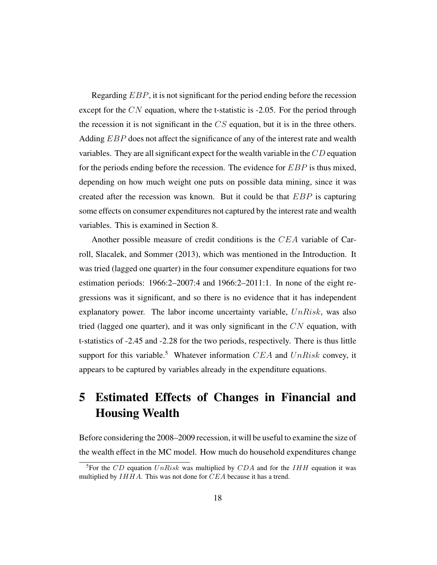Regarding *EBP*, it is not significant for the period ending before the recession except for the  $CN$  equation, where the t-statistic is  $-2.05$ . For the period through the recession it is not significant in the  $CS$  equation, but it is in the three others. Adding EBP does not affect the significance of any of the interest rate and wealth variables. They are all significant expect for the wealth variable in the CD equation for the periods ending before the recession. The evidence for  $EBP$  is thus mixed, depending on how much weight one puts on possible data mining, since it was created after the recession was known. But it could be that EBP is capturing some effects on consumer expenditures not captured by the interest rate and wealth variables. This is examined in Section 8.

Another possible measure of credit conditions is the CEA variable of Carroll, Slacalek, and Sommer (2013), which was mentioned in the Introduction. It was tried (lagged one quarter) in the four consumer expenditure equations for two estimation periods: 1966:2–2007:4 and 1966:2–2011:1. In none of the eight regressions was it significant, and so there is no evidence that it has independent explanatory power. The labor income uncertainty variable,  $UnRisk$ , was also tried (lagged one quarter), and it was only significant in the  $CN$  equation, with t-statistics of -2.45 and -2.28 for the two periods, respectively. There is thus little support for this variable.<sup>5</sup> Whatever information  $CEA$  and  $UnRisk$  convey, it appears to be captured by variables already in the expenditure equations.

## 5 Estimated Effects of Changes in Financial and Housing Wealth

Before considering the 2008–2009 recession, it will be useful to examine the size of the wealth effect in the MC model. How much do household expenditures change

<sup>&</sup>lt;sup>5</sup>For the CD equation UnRisk was multiplied by CDA and for the IHH equation it was multiplied by  $IHHA$ . This was not done for  $CEA$  because it has a trend.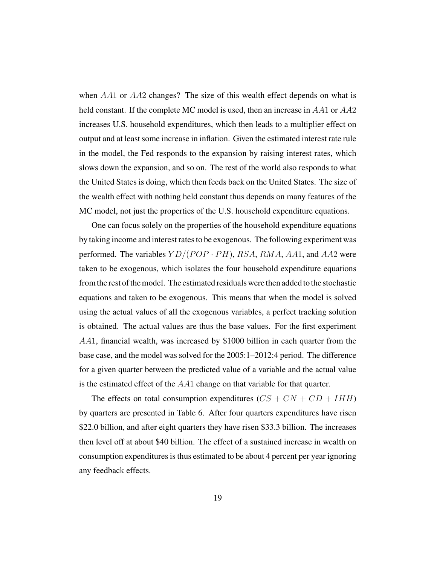when AA1 or AA2 changes? The size of this wealth effect depends on what is held constant. If the complete MC model is used, then an increase in AA1 or AA2 increases U.S. household expenditures, which then leads to a multiplier effect on output and at least some increase in inflation. Given the estimated interest rate rule in the model, the Fed responds to the expansion by raising interest rates, which slows down the expansion, and so on. The rest of the world also responds to what the United States is doing, which then feeds back on the United States. The size of the wealth effect with nothing held constant thus depends on many features of the MC model, not just the properties of the U.S. household expenditure equations.

One can focus solely on the properties of the household expenditure equations by taking income and interest rates to be exogenous. The following experiment was performed. The variables  $YD/(POP \cdot PH)$ , RSA, RMA, AA1, and AA2 were taken to be exogenous, which isolates the four household expenditure equations from the rest of the model. The estimated residuals were then added to the stochastic equations and taken to be exogenous. This means that when the model is solved using the actual values of all the exogenous variables, a perfect tracking solution is obtained. The actual values are thus the base values. For the first experiment AA1, financial wealth, was increased by \$1000 billion in each quarter from the base case, and the model was solved for the 2005:1–2012:4 period. The difference for a given quarter between the predicted value of a variable and the actual value is the estimated effect of the AA1 change on that variable for that quarter.

The effects on total consumption expenditures  $(CS + CN + CD + IHH)$ by quarters are presented in Table 6. After four quarters expenditures have risen \$22.0 billion, and after eight quarters they have risen \$33.3 billion. The increases then level off at about \$40 billion. The effect of a sustained increase in wealth on consumption expenditures is thus estimated to be about 4 percent per year ignoring any feedback effects.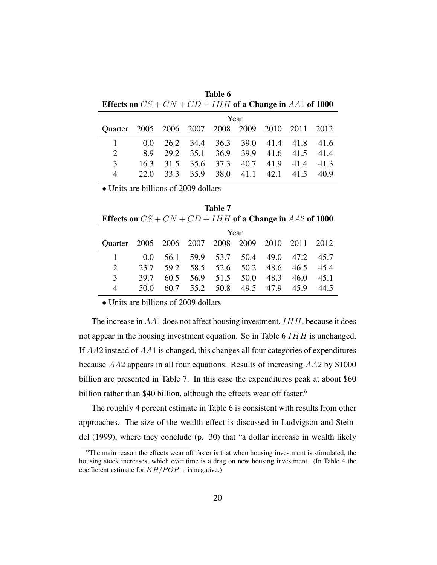| TMDIA A                                                    |      |
|------------------------------------------------------------|------|
| Effects on $CS + CN + CD + IHH$ of a Change in AA1 of 1000 |      |
|                                                            | Year |

Table 6

|                                                 |  |                                         | $1 \cup 11$ |  |  |
|-------------------------------------------------|--|-----------------------------------------|-------------|--|--|
| Quarter 2005 2006 2007 2008 2009 2010 2011 2012 |  |                                         |             |  |  |
|                                                 |  | 0.0 26.2 34.4 36.3 39.0 41.4 41.8 41.6  |             |  |  |
| $\mathcal{D}$                                   |  | 8.9 29.2 35.1 36.9 39.9 41.6 41.5 41.4  |             |  |  |
| $\mathcal{F}$                                   |  | 16.3 31.5 35.6 37.3 40.7 41.9 41.4 41.3 |             |  |  |
| 4                                               |  | 22.0 33.3 35.9 38.0 41.1 42.1 41.5 40.9 |             |  |  |
|                                                 |  |                                         |             |  |  |

• Units are billions of 2009 dollars

Table 7 Effects on  $CS + CN + CD + IHH$  of a Change in AA2 of 1000

|                                                 | Year |                                         |                               |  |  |  |  |      |  |
|-------------------------------------------------|------|-----------------------------------------|-------------------------------|--|--|--|--|------|--|
| Quarter 2005 2006 2007 2008 2009 2010 2011 2012 |      |                                         |                               |  |  |  |  |      |  |
|                                                 |      | 0.0 56.1 59.9 53.7 50.4 49.0 47.2 45.7  |                               |  |  |  |  |      |  |
| $2^{\circ}$                                     |      | 23.7 59.2 58.5 52.6 50.2 48.6 46.5 45.4 |                               |  |  |  |  |      |  |
| 3                                               | 39.7 |                                         | 60.5 56.9 51.5 50.0 48.3 46.0 |  |  |  |  | 45.1 |  |
| $\overline{4}$                                  | 50.0 |                                         | 60.7 55.2 50.8 49.5 47.9 45.9 |  |  |  |  | 44.5 |  |

• Units are billions of 2009 dollars

The increase in  $AA1$  does not affect housing investment,  $IHH$ , because it does not appear in the housing investment equation. So in Table 6 IHH is unchanged. If AA2 instead of AA1 is changed, this changes all four categories of expenditures because AA2 appears in all four equations. Results of increasing AA2 by \$1000 billion are presented in Table 7. In this case the expenditures peak at about \$60 billion rather than \$40 billion, although the effects wear off faster.<sup>6</sup>

The roughly 4 percent estimate in Table 6 is consistent with results from other approaches. The size of the wealth effect is discussed in Ludvigson and Steindel (1999), where they conclude (p. 30) that "a dollar increase in wealth likely

<sup>6</sup>The main reason the effects wear off faster is that when housing investment is stimulated, the housing stock increases, which over time is a drag on new housing investment. (In Table 4 the coefficient estimate for  $KH/POP_{-1}$  is negative.)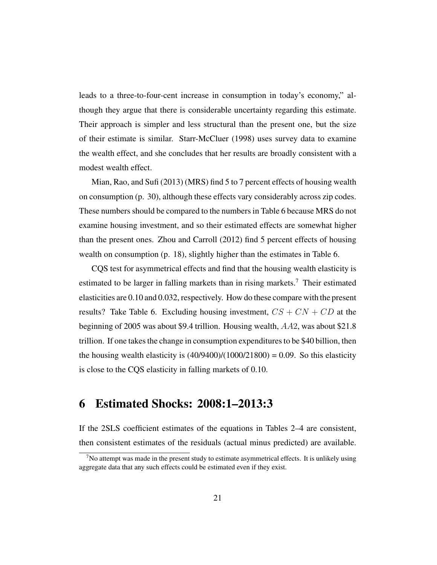leads to a three-to-four-cent increase in consumption in today's economy," although they argue that there is considerable uncertainty regarding this estimate. Their approach is simpler and less structural than the present one, but the size of their estimate is similar. Starr-McCluer (1998) uses survey data to examine the wealth effect, and she concludes that her results are broadly consistent with a modest wealth effect.

Mian, Rao, and Sufi (2013) (MRS) find 5 to 7 percent effects of housing wealth on consumption (p. 30), although these effects vary considerably across zip codes. These numbers should be compared to the numbers in Table 6 because MRS do not examine housing investment, and so their estimated effects are somewhat higher than the present ones. Zhou and Carroll (2012) find 5 percent effects of housing wealth on consumption (p. 18), slightly higher than the estimates in Table 6.

CQS test for asymmetrical effects and find that the housing wealth elasticity is estimated to be larger in falling markets than in rising markets.<sup>7</sup> Their estimated elasticities are 0.10 and 0.032, respectively. How do these compare with the present results? Take Table 6. Excluding housing investment,  $CS + CN + CD$  at the beginning of 2005 was about \$9.4 trillion. Housing wealth, AA2, was about \$21.8 trillion. If one takes the change in consumption expenditures to be \$40 billion, then the housing wealth elasticity is  $(40/9400)/(1000/21800) = 0.09$ . So this elasticity is close to the CQS elasticity in falling markets of 0.10.

#### 6 Estimated Shocks: 2008:1–2013:3

If the 2SLS coefficient estimates of the equations in Tables 2–4 are consistent, then consistent estimates of the residuals (actual minus predicted) are available.

 $<sup>7</sup>$ No attempt was made in the present study to estimate asymmetrical effects. It is unlikely using</sup> aggregate data that any such effects could be estimated even if they exist.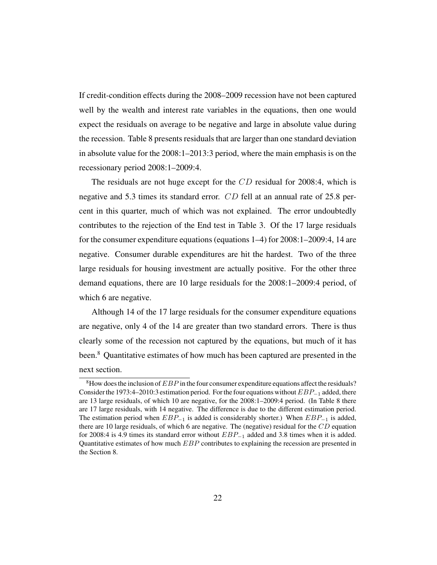If credit-condition effects during the 2008–2009 recession have not been captured well by the wealth and interest rate variables in the equations, then one would expect the residuals on average to be negative and large in absolute value during the recession. Table 8 presents residuals that are larger than one standard deviation in absolute value for the 2008:1–2013:3 period, where the main emphasis is on the recessionary period 2008:1–2009:4.

The residuals are not huge except for the CD residual for 2008:4, which is negative and 5.3 times its standard error. CD fell at an annual rate of 25.8 percent in this quarter, much of which was not explained. The error undoubtedly contributes to the rejection of the End test in Table 3. Of the 17 large residuals for the consumer expenditure equations (equations 1–4) for 2008:1–2009:4, 14 are negative. Consumer durable expenditures are hit the hardest. Two of the three large residuals for housing investment are actually positive. For the other three demand equations, there are 10 large residuals for the 2008:1–2009:4 period, of which 6 are negative.

Although 14 of the 17 large residuals for the consumer expenditure equations are negative, only 4 of the 14 are greater than two standard errors. There is thus clearly some of the recession not captured by the equations, but much of it has been.<sup>8</sup> Quantitative estimates of how much has been captured are presented in the next section.

<sup>&</sup>lt;sup>8</sup>How does the inclusion of  $EBP$  in the four consumer expenditure equations affect the residuals? Consider the 1973:4–2010:3 estimation period. For the four equations without EBP<sup>−</sup><sup>1</sup> added, there are 13 large residuals, of which 10 are negative, for the 2008:1–2009:4 period. (In Table 8 there are 17 large residuals, with 14 negative. The difference is due to the different estimation period. The estimation period when  $EBP_{-1}$  is added is considerably shorter.) When  $EBP_{-1}$  is added, there are 10 large residuals, of which 6 are negative. The (negative) residual for the  $CD$  equation for 2008:4 is 4.9 times its standard error without  $EBP_{-1}$  added and 3.8 times when it is added. Quantitative estimates of how much  $EBP$  contributes to explaining the recession are presented in the Section 8.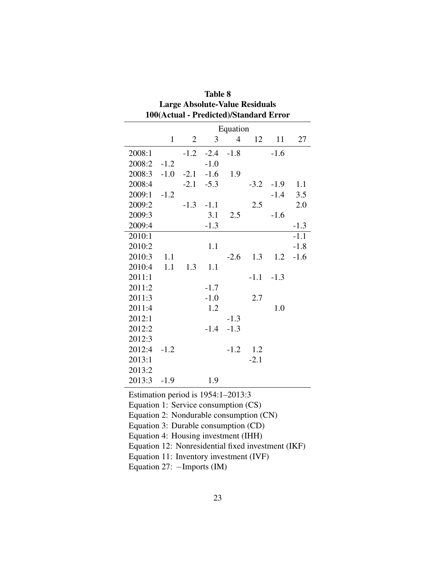|                                                                                 | <b>Large Absolute-Value Residuals</b><br>100(Actual - Predicted)/Standard Error |                |        |                |        |        |        |  |  |
|---------------------------------------------------------------------------------|---------------------------------------------------------------------------------|----------------|--------|----------------|--------|--------|--------|--|--|
| Equation                                                                        |                                                                                 |                |        |                |        |        |        |  |  |
|                                                                                 | $\mathbf{1}$                                                                    | $\overline{c}$ | 3      | $\overline{4}$ | 12     | 11     | 27     |  |  |
| 2008:1                                                                          |                                                                                 | $-1.2$         | $-2.4$ | $-1.8$         |        | $-1.6$ |        |  |  |
| 2008:2                                                                          | $-1.2$                                                                          |                | $-1.0$ |                |        |        |        |  |  |
| 2008:3                                                                          | $-1.0$                                                                          | $-2.1$         | $-1.6$ | 1.9            |        |        |        |  |  |
| 2008:4                                                                          |                                                                                 | $-2.1$         | $-5.3$ |                | $-3.2$ | $-1.9$ | 1.1    |  |  |
| 2009:1                                                                          | $-1.2$                                                                          |                |        |                |        | $-1.4$ | 3.5    |  |  |
| 2009:2                                                                          |                                                                                 | $-1.3$         | $-1.1$ |                | 2.5    |        | 2.0    |  |  |
| 2009:3                                                                          |                                                                                 |                | 3.1    | 2.5            |        | $-1.6$ |        |  |  |
| 2009:4                                                                          |                                                                                 |                | $-1.3$ |                |        |        | $-1.3$ |  |  |
| 2010:1                                                                          |                                                                                 |                |        |                |        |        | $-1.1$ |  |  |
| 2010:2                                                                          |                                                                                 |                | 1.1    |                |        |        | $-1.8$ |  |  |
| 2010:3                                                                          | 1.1                                                                             |                |        | $-2.6$         | 1.3    | 1.2    | $-1.6$ |  |  |
| 2010:4                                                                          | 1.1                                                                             | 1.3            | 1.1    |                |        |        |        |  |  |
| 2011:1                                                                          |                                                                                 |                |        |                | $-1.1$ | $-1.3$ |        |  |  |
| 2011:2                                                                          |                                                                                 |                | $-1.7$ |                |        |        |        |  |  |
| 2011:3                                                                          |                                                                                 |                | $-1.0$ |                | 2.7    |        |        |  |  |
| 2011:4                                                                          |                                                                                 |                | 1.2    |                |        | 1.0    |        |  |  |
| 2012:1                                                                          |                                                                                 |                |        | $-1.3$         |        |        |        |  |  |
| 2012:2                                                                          |                                                                                 |                | $-1.4$ | $-1.3$         |        |        |        |  |  |
| 2012:3                                                                          |                                                                                 |                |        |                |        |        |        |  |  |
| 2012:4                                                                          | $-1.2$                                                                          |                |        | $-1.2$         | 1.2    |        |        |  |  |
| 2013:1                                                                          |                                                                                 |                |        |                | $-2.1$ |        |        |  |  |
| 2013:2                                                                          |                                                                                 |                |        |                |        |        |        |  |  |
| 2013:3                                                                          | $-1.9$                                                                          |                | 1.9    |                |        |        |        |  |  |
| Estimation period is $1954:1-2013:3$                                            |                                                                                 |                |        |                |        |        |        |  |  |
| Equation 1: Service consumption (CS)                                            |                                                                                 |                |        |                |        |        |        |  |  |
|                                                                                 |                                                                                 |                |        |                |        |        |        |  |  |
| Equation 2: Nondurable consumption (CN)<br>Equation 3: Durable consumption (CD) |                                                                                 |                |        |                |        |        |        |  |  |
| Equation 4: Housing investment (IHH)                                            |                                                                                 |                |        |                |        |        |        |  |  |
| Equation 12: Nonresidential fixed investment (IKF)                              |                                                                                 |                |        |                |        |        |        |  |  |
| Equation 11: Inventory investment (IVF)                                         |                                                                                 |                |        |                |        |        |        |  |  |
| Equation 27: - Imports (IM)                                                     |                                                                                 |                |        |                |        |        |        |  |  |

| Table 8                                |
|----------------------------------------|
| <b>Large Absolute-Value Residuals</b>  |
| 100(Actual - Predicted)/Standard Error |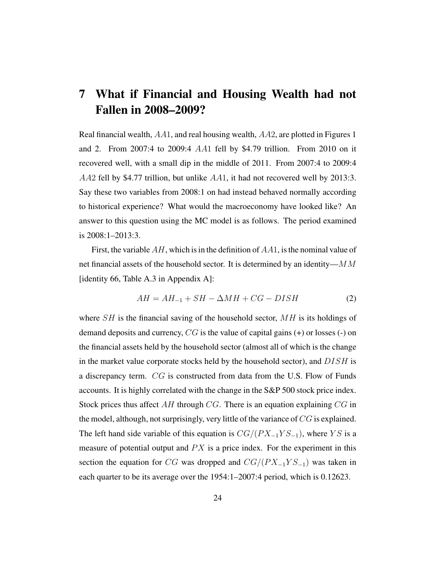### 7 What if Financial and Housing Wealth had not Fallen in 2008–2009?

Real financial wealth, AA1, and real housing wealth, AA2, are plotted in Figures 1 and 2. From 2007:4 to 2009:4 AA1 fell by \$4.79 trillion. From 2010 on it recovered well, with a small dip in the middle of 2011. From 2007:4 to 2009:4 AA2 fell by \$4.77 trillion, but unlike AA1, it had not recovered well by 2013:3. Say these two variables from 2008:1 on had instead behaved normally according to historical experience? What would the macroeconomy have looked like? An answer to this question using the MC model is as follows. The period examined is 2008:1–2013:3.

First, the variable  $AH$ , which is in the definition of  $AA1$ , is the nominal value of net financial assets of the household sector. It is determined by an identity— $MM$ [identity 66, Table A.3 in Appendix A]:

$$
AH = AH_{-1} + SH - \Delta MH + CG - DISH \tag{2}
$$

where  $SH$  is the financial saving of the household sector,  $MH$  is its holdings of demand deposits and currency,  $CG$  is the value of capital gains  $(+)$  or losses  $(-)$  on the financial assets held by the household sector (almost all of which is the change in the market value corporate stocks held by the household sector), and  $DISH$  is a discrepancy term. CG is constructed from data from the U.S. Flow of Funds accounts. It is highly correlated with the change in the S&P 500 stock price index. Stock prices thus affect  $AH$  through  $CG$ . There is an equation explaining  $CG$  in the model, although, not surprisingly, very little of the variance of CG is explained. The left hand side variable of this equation is  $CG/(PX_{-1}YS_{-1})$ , where YS is a measure of potential output and  $PX$  is a price index. For the experiment in this section the equation for CG was dropped and  $CG/(PX_{-1}YS_{-1})$  was taken in each quarter to be its average over the 1954:1–2007:4 period, which is 0.12623.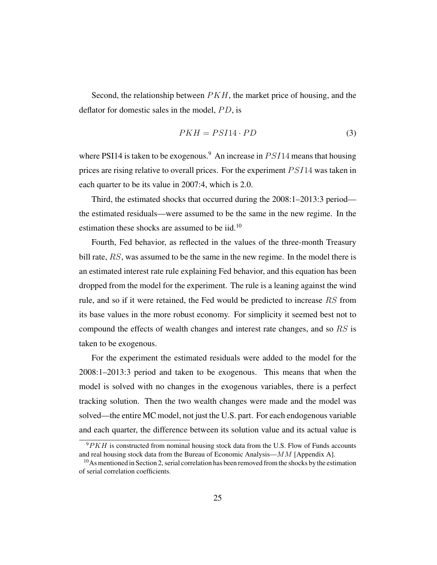Second, the relationship between  $PKH$ , the market price of housing, and the deflator for domestic sales in the model,  $PD$ , is

$$
PKH = PSI14 \cdot PD \tag{3}
$$

where PSI14 is taken to be exogenous.<sup>9</sup> An increase in  $PSI14$  means that housing prices are rising relative to overall prices. For the experiment PSI14 was taken in each quarter to be its value in 2007:4, which is 2.0.

Third, the estimated shocks that occurred during the 2008:1–2013:3 period the estimated residuals—were assumed to be the same in the new regime. In the estimation these shocks are assumed to be iid.<sup>10</sup>

Fourth, Fed behavior, as reflected in the values of the three-month Treasury bill rate, RS, was assumed to be the same in the new regime. In the model there is an estimated interest rate rule explaining Fed behavior, and this equation has been dropped from the model for the experiment. The rule is a leaning against the wind rule, and so if it were retained, the Fed would be predicted to increase RS from its base values in the more robust economy. For simplicity it seemed best not to compound the effects of wealth changes and interest rate changes, and so RS is taken to be exogenous.

For the experiment the estimated residuals were added to the model for the 2008:1–2013:3 period and taken to be exogenous. This means that when the model is solved with no changes in the exogenous variables, there is a perfect tracking solution. Then the two wealth changes were made and the model was solved—the entire MC model, not just the U.S. part. For each endogenous variable and each quarter, the difference between its solution value and its actual value is

 $9PKH$  is constructed from nominal housing stock data from the U.S. Flow of Funds accounts and real housing stock data from the Bureau of Economic Analysis—MM [Appendix A].

<sup>&</sup>lt;sup>10</sup>As mentioned in Section 2, serial correlation has been removed from the shocks by the estimation of serial correlation coefficients.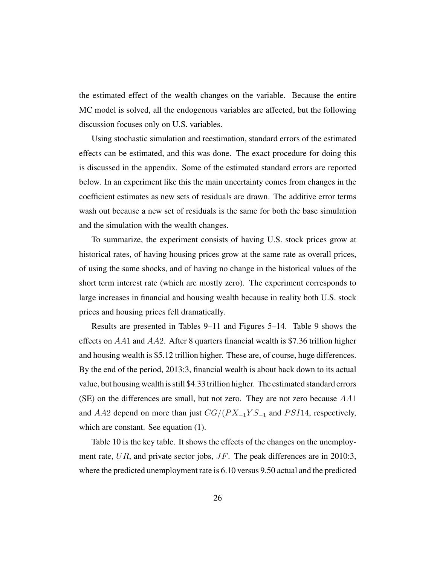the estimated effect of the wealth changes on the variable. Because the entire MC model is solved, all the endogenous variables are affected, but the following discussion focuses only on U.S. variables.

Using stochastic simulation and reestimation, standard errors of the estimated effects can be estimated, and this was done. The exact procedure for doing this is discussed in the appendix. Some of the estimated standard errors are reported below. In an experiment like this the main uncertainty comes from changes in the coefficient estimates as new sets of residuals are drawn. The additive error terms wash out because a new set of residuals is the same for both the base simulation and the simulation with the wealth changes.

To summarize, the experiment consists of having U.S. stock prices grow at historical rates, of having housing prices grow at the same rate as overall prices, of using the same shocks, and of having no change in the historical values of the short term interest rate (which are mostly zero). The experiment corresponds to large increases in financial and housing wealth because in reality both U.S. stock prices and housing prices fell dramatically.

Results are presented in Tables 9–11 and Figures 5–14. Table 9 shows the effects on  $AA1$  and  $AA2$ . After 8 quarters financial wealth is \$7.36 trillion higher and housing wealth is \$5.12 trillion higher. These are, of course, huge differences. By the end of the period, 2013:3, financial wealth is about back down to its actual value, but housing wealth is still \$4.33 trillion higher. The estimated standard errors (SE) on the differences are small, but not zero. They are not zero because AA1 and AA2 depend on more than just  $CG/(PX_{-1}YS_{-1}$  and PSI14, respectively, which are constant. See equation (1).

Table 10 is the key table. It shows the effects of the changes on the unemployment rate, UR, and private sector jobs, JF. The peak differences are in 2010:3, where the predicted unemployment rate is 6.10 versus 9.50 actual and the predicted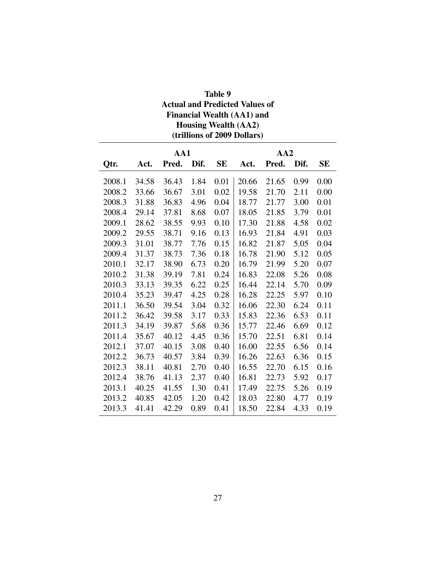| Table 9                               |
|---------------------------------------|
| <b>Actual and Predicted Values of</b> |
| <b>Financial Wealth (AA1) and</b>     |
| <b>Housing Wealth (AA2)</b>           |
| (trillions of 2009 Dollars)           |

|        | AA1   |       |      |      | AA2   |       |      |           |
|--------|-------|-------|------|------|-------|-------|------|-----------|
| Qtr.   | Act.  | Pred. | Dif. | SЕ   | Act.  | Pred. | Dif. | <b>SE</b> |
| 2008.1 | 34.58 | 36.43 | 1.84 | 0.01 | 20.66 | 21.65 | 0.99 | 0.00      |
| 2008.2 | 33.66 | 36.67 | 3.01 | 0.02 | 19.58 | 21.70 | 2.11 | 0.00      |
| 2008.3 | 31.88 | 36.83 | 4.96 | 0.04 | 18.77 | 21.77 | 3.00 | 0.01      |
| 2008.4 | 29.14 | 37.81 | 8.68 | 0.07 | 18.05 | 21.85 | 3.79 | 0.01      |
| 2009.1 | 28.62 | 38.55 | 9.93 | 0.10 | 17.30 | 21.88 | 4.58 | 0.02      |
| 2009.2 | 29.55 | 38.71 | 9.16 | 0.13 | 16.93 | 21.84 | 4.91 | 0.03      |
| 2009.3 | 31.01 | 38.77 | 7.76 | 0.15 | 16.82 | 21.87 | 5.05 | 0.04      |
| 2009.4 | 31.37 | 38.73 | 7.36 | 0.18 | 16.78 | 21.90 | 5.12 | 0.05      |
| 2010.1 | 32.17 | 38.90 | 6.73 | 0.20 | 16.79 | 21.99 | 5.20 | 0.07      |
| 2010.2 | 31.38 | 39.19 | 7.81 | 0.24 | 16.83 | 22.08 | 5.26 | 0.08      |
| 2010.3 | 33.13 | 39.35 | 6.22 | 0.25 | 16.44 | 22.14 | 5.70 | 0.09      |
| 2010.4 | 35.23 | 39.47 | 4.25 | 0.28 | 16.28 | 22.25 | 5.97 | 0.10      |
| 2011.1 | 36.50 | 39.54 | 3.04 | 0.32 | 16.06 | 22.30 | 6.24 | 0.11      |
| 2011.2 | 36.42 | 39.58 | 3.17 | 0.33 | 15.83 | 22.36 | 6.53 | 0.11      |
| 2011.3 | 34.19 | 39.87 | 5.68 | 0.36 | 15.77 | 22.46 | 6.69 | 0.12      |
| 2011.4 | 35.67 | 40.12 | 4.45 | 0.36 | 15.70 | 22.51 | 6.81 | 0.14      |
| 2012.1 | 37.07 | 40.15 | 3.08 | 0.40 | 16.00 | 22.55 | 6.56 | 0.14      |
| 2012.2 | 36.73 | 40.57 | 3.84 | 0.39 | 16.26 | 22.63 | 6.36 | 0.15      |
| 2012.3 | 38.11 | 40.81 | 2.70 | 0.40 | 16.55 | 22.70 | 6.15 | 0.16      |
| 2012.4 | 38.76 | 41.13 | 2.37 | 0.40 | 16.81 | 22.73 | 5.92 | 0.17      |
| 2013.1 | 40.25 | 41.55 | 1.30 | 0.41 | 17.49 | 22.75 | 5.26 | 0.19      |
| 2013.2 | 40.85 | 42.05 | 1.20 | 0.42 | 18.03 | 22.80 | 4.77 | 0.19      |
| 2013.3 | 41.41 | 42.29 | 0.89 | 0.41 | 18.50 | 22.84 | 4.33 | 0.19      |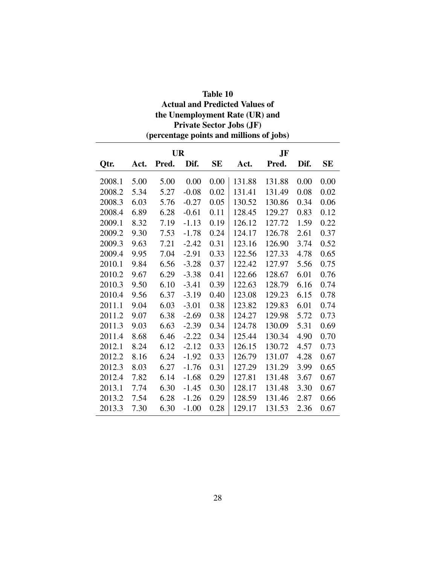| <b>Private Sector Jobs (JF)</b><br>(percentage points and millions of jobs) |      |       |         |           |        |        |      |           |  |  |  |
|-----------------------------------------------------------------------------|------|-------|---------|-----------|--------|--------|------|-----------|--|--|--|
| <b>UR</b><br>JF                                                             |      |       |         |           |        |        |      |           |  |  |  |
| Qtr.                                                                        | Act. | Pred. | Dif.    | <b>SE</b> | Act.   | Pred.  | Dif. | <b>SE</b> |  |  |  |
| 2008.1                                                                      | 5.00 | 5.00  | 0.00    | 0.00      | 131.88 | 131.88 | 0.00 | 0.00      |  |  |  |
| 2008.2                                                                      | 5.34 | 5.27  | $-0.08$ | 0.02      | 131.41 | 131.49 | 0.08 | 0.02      |  |  |  |
| 2008.3                                                                      | 6.03 | 5.76  | $-0.27$ | 0.05      | 130.52 | 130.86 | 0.34 | 0.06      |  |  |  |
| 2008.4                                                                      | 6.89 | 6.28  | $-0.61$ | 0.11      | 128.45 | 129.27 | 0.83 | 0.12      |  |  |  |
| 2009.1                                                                      | 8.32 | 7.19  | $-1.13$ | 0.19      | 126.12 | 127.72 | 1.59 | 0.22      |  |  |  |
| 2009.2                                                                      | 9.30 | 7.53  | $-1.78$ | 0.24      | 124.17 | 126.78 | 2.61 | 0.37      |  |  |  |
| 2009.3                                                                      | 9.63 | 7.21  | $-2.42$ | 0.31      | 123.16 | 126.90 | 3.74 | 0.52      |  |  |  |
| 2009.4                                                                      | 9.95 | 7.04  | $-2.91$ | 0.33      | 122.56 | 127.33 | 4.78 | 0.65      |  |  |  |
| 2010.1                                                                      | 9.84 | 6.56  | $-3.28$ | 0.37      | 122.42 | 127.97 | 5.56 | 0.75      |  |  |  |
| 2010.2                                                                      | 9.67 | 6.29  | $-3.38$ | 0.41      | 122.66 | 128.67 | 6.01 | 0.76      |  |  |  |
| 2010.3                                                                      | 9.50 | 6.10  | $-3.41$ | 0.39      | 122.63 | 128.79 | 6.16 | 0.74      |  |  |  |
| 2010.4                                                                      | 9.56 | 6.37  | $-3.19$ | 0.40      | 123.08 | 129.23 | 6.15 | 0.78      |  |  |  |
| 2011.1                                                                      | 9.04 | 6.03  | $-3.01$ | 0.38      | 123.82 | 129.83 | 6.01 | 0.74      |  |  |  |
| 2011.2                                                                      | 9.07 | 6.38  | $-2.69$ | 0.38      | 124.27 | 129.98 | 5.72 | 0.73      |  |  |  |
| 2011.3                                                                      | 9.03 | 6.63  | $-2.39$ | 0.34      | 124.78 | 130.09 | 5.31 | 0.69      |  |  |  |
| 2011.4                                                                      | 8.68 | 6.46  | $-2.22$ | 0.34      | 125.44 | 130.34 | 4.90 | 0.70      |  |  |  |
| 2012.1                                                                      | 8.24 | 6.12  | $-2.12$ | 0.33      | 126.15 | 130.72 | 4.57 | 0.73      |  |  |  |
| 2012.2                                                                      | 8.16 | 6.24  | $-1.92$ | 0.33      | 126.79 | 131.07 | 4.28 | 0.67      |  |  |  |
| 2012.3                                                                      | 8.03 | 6.27  | $-1.76$ | 0.31      | 127.29 | 131.29 | 3.99 | 0.65      |  |  |  |
| 2012.4                                                                      | 7.82 | 6.14  | $-1.68$ | 0.29      | 127.81 | 131.48 | 3.67 | 0.67      |  |  |  |
| 2013.1                                                                      | 7.74 | 6.30  | $-1.45$ | 0.30      | 128.17 | 131.48 | 3.30 | 0.67      |  |  |  |
| 2013.2                                                                      | 7.54 | 6.28  | $-1.26$ | 0.29      | 128.59 | 131.46 | 2.87 | 0.66      |  |  |  |
| 2013.3                                                                      | 7.30 | 6.30  | $-1.00$ | 0.28      | 129.17 | 131.53 | 2.36 | 0.67      |  |  |  |

Table 10 Actual and Predicted Values of the Unemployment Rate (UR) and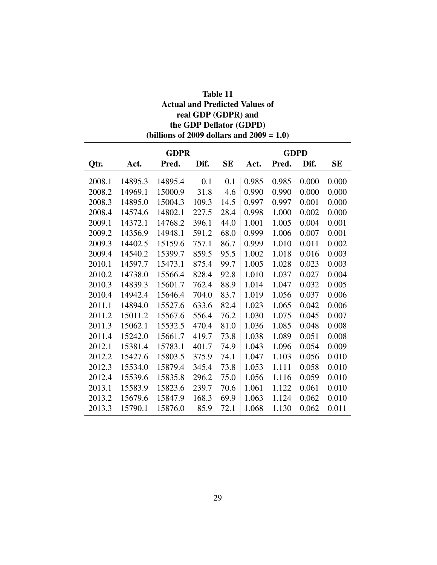| Table 11                                     |
|----------------------------------------------|
| <b>Actual and Predicted Values of</b>        |
| real GDP (GDPR) and                          |
| the GDP Deflator (GDPD)                      |
| (billions of 2009 dollars and $2009 = 1.0$ ) |

|        |         | <b>GDPR</b> |       | <b>GDPD</b> |       |       |       |           |
|--------|---------|-------------|-------|-------------|-------|-------|-------|-----------|
| Qtr.   | Act.    | Pred.       | Dif.  | SE          | Act.  | Pred. | Dif.  | <b>SE</b> |
| 2008.1 | 14895.3 | 14895.4     | 0.1   | 0.1         | 0.985 | 0.985 | 0.000 | 0.000     |
| 2008.2 | 14969.1 | 15000.9     | 31.8  | 4.6         | 0.990 | 0.990 | 0.000 | 0.000     |
| 2008.3 | 14895.0 | 15004.3     | 109.3 | 14.5        | 0.997 | 0.997 | 0.001 | 0.000     |
| 2008.4 | 14574.6 | 14802.1     | 227.5 | 28.4        | 0.998 | 1.000 | 0.002 | 0.000     |
| 2009.1 | 14372.1 | 14768.2     | 396.1 | 44.0        | 1.001 | 1.005 | 0.004 | 0.001     |
| 2009.2 | 14356.9 | 14948.1     | 591.2 | 68.0        | 0.999 | 1.006 | 0.007 | 0.001     |
| 2009.3 | 14402.5 | 15159.6     | 757.1 | 86.7        | 0.999 | 1.010 | 0.011 | 0.002     |
| 2009.4 | 14540.2 | 15399.7     | 859.5 | 95.5        | 1.002 | 1.018 | 0.016 | 0.003     |
| 2010.1 | 14597.7 | 15473.1     | 875.4 | 99.7        | 1.005 | 1.028 | 0.023 | 0.003     |
| 2010.2 | 14738.0 | 15566.4     | 828.4 | 92.8        | 1.010 | 1.037 | 0.027 | 0.004     |
| 2010.3 | 14839.3 | 15601.7     | 762.4 | 88.9        | 1.014 | 1.047 | 0.032 | 0.005     |
| 2010.4 | 14942.4 | 15646.4     | 704.0 | 83.7        | 1.019 | 1.056 | 0.037 | 0.006     |
| 2011.1 | 14894.0 | 15527.6     | 633.6 | 82.4        | 1.023 | 1.065 | 0.042 | 0.006     |
| 2011.2 | 15011.2 | 15567.6     | 556.4 | 76.2        | 1.030 | 1.075 | 0.045 | 0.007     |
| 2011.3 | 15062.1 | 15532.5     | 470.4 | 81.0        | 1.036 | 1.085 | 0.048 | 0.008     |
| 2011.4 | 15242.0 | 15661.7     | 419.7 | 73.8        | 1.038 | 1.089 | 0.051 | 0.008     |
| 2012.1 | 15381.4 | 15783.1     | 401.7 | 74.9        | 1.043 | 1.096 | 0.054 | 0.009     |
| 2012.2 | 15427.6 | 15803.5     | 375.9 | 74.1        | 1.047 | 1.103 | 0.056 | 0.010     |
| 2012.3 | 15534.0 | 15879.4     | 345.4 | 73.8        | 1.053 | 1.111 | 0.058 | 0.010     |
| 2012.4 | 15539.6 | 15835.8     | 296.2 | 75.0        | 1.056 | 1.116 | 0.059 | 0.010     |
| 2013.1 | 15583.9 | 15823.6     | 239.7 | 70.6        | 1.061 | 1.122 | 0.061 | 0.010     |
| 2013.2 | 15679.6 | 15847.9     | 168.3 | 69.9        | 1.063 | 1.124 | 0.062 | 0.010     |
| 2013.3 | 15790.1 | 15876.0     | 85.9  | 72.1        | 1.068 | 1.130 | 0.062 | 0.011     |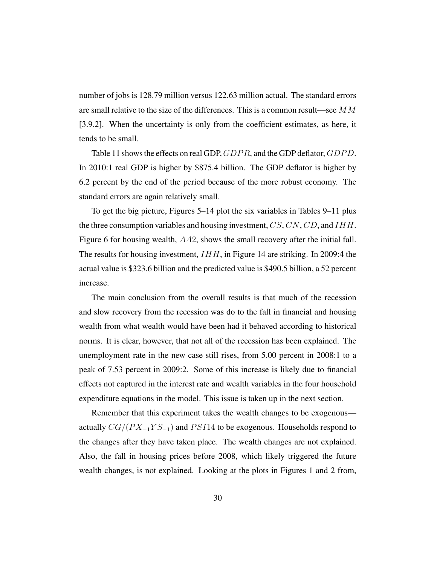number of jobs is 128.79 million versus 122.63 million actual. The standard errors are small relative to the size of the differences. This is a common result—see  $MM$ [3.9.2]. When the uncertainty is only from the coefficient estimates, as here, it tends to be small.

Table 11 shows the effects on real GDP,  $GDPR$ , and the GDP deflator,  $GDPD$ . In 2010:1 real GDP is higher by \$875.4 billion. The GDP deflator is higher by 6.2 percent by the end of the period because of the more robust economy. The standard errors are again relatively small.

To get the big picture, Figures 5–14 plot the six variables in Tables 9–11 plus the three consumption variables and housing investment,  $CS$ ,  $CN$ ,  $CD$ , and  $IHH$ . Figure 6 for housing wealth, AA2, shows the small recovery after the initial fall. The results for housing investment,  $IHH$ , in Figure 14 are striking. In 2009:4 the actual value is \$323.6 billion and the predicted value is \$490.5 billion, a 52 percent increase.

The main conclusion from the overall results is that much of the recession and slow recovery from the recession was do to the fall in financial and housing wealth from what wealth would have been had it behaved according to historical norms. It is clear, however, that not all of the recession has been explained. The unemployment rate in the new case still rises, from 5.00 percent in 2008:1 to a peak of 7.53 percent in 2009:2. Some of this increase is likely due to financial effects not captured in the interest rate and wealth variables in the four household expenditure equations in the model. This issue is taken up in the next section.

Remember that this experiment takes the wealth changes to be exogenous actually  $CG/(PX_{-1}YS_{-1})$  and  $PSI14$  to be exogenous. Households respond to the changes after they have taken place. The wealth changes are not explained. Also, the fall in housing prices before 2008, which likely triggered the future wealth changes, is not explained. Looking at the plots in Figures 1 and 2 from,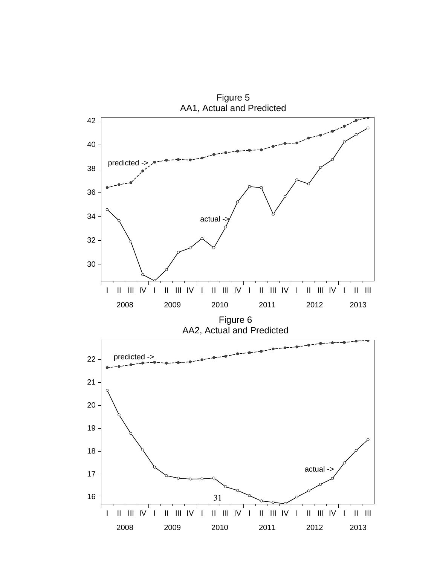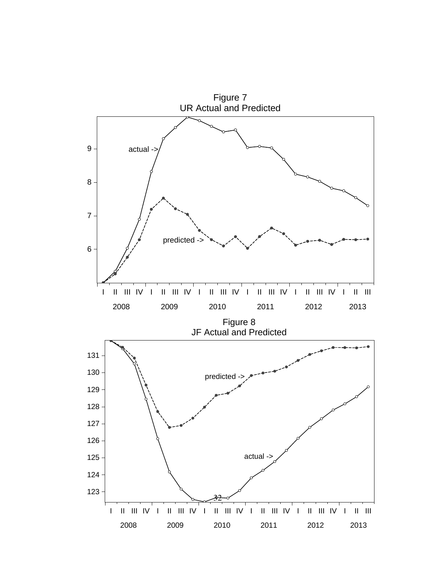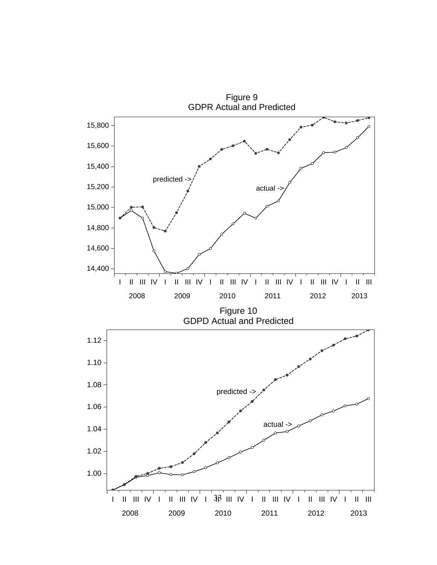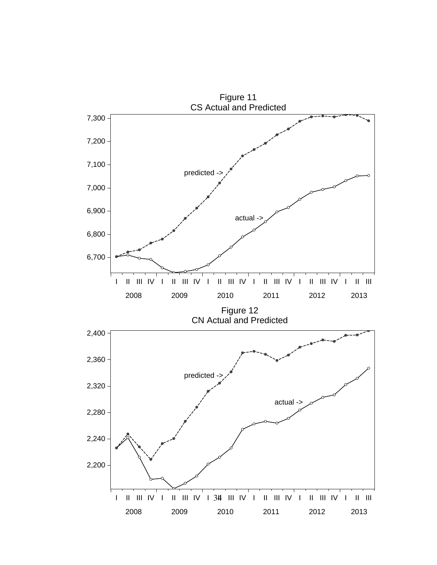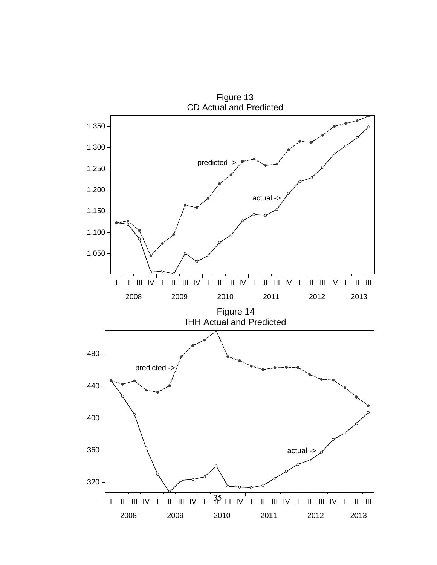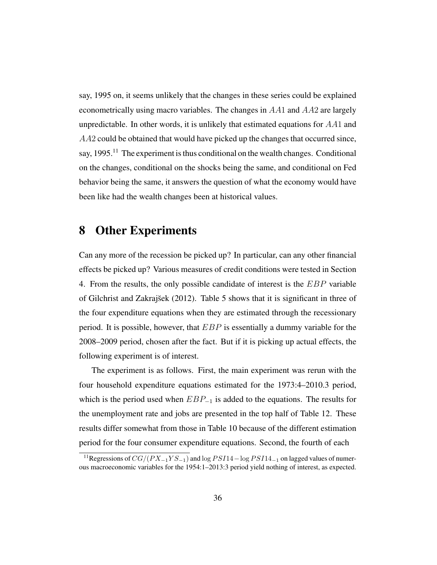say, 1995 on, it seems unlikely that the changes in these series could be explained econometrically using macro variables. The changes in AA1 and AA2 are largely unpredictable. In other words, it is unlikely that estimated equations for  $AA1$  and AA2 could be obtained that would have picked up the changes that occurred since, say, 1995.<sup>11</sup> The experiment is thus conditional on the wealth changes. Conditional on the changes, conditional on the shocks being the same, and conditional on Fed behavior being the same, it answers the question of what the economy would have been like had the wealth changes been at historical values.

#### 8 Other Experiments

Can any more of the recession be picked up? In particular, can any other financial effects be picked up? Various measures of credit conditions were tested in Section 4. From the results, the only possible candidate of interest is the EBP variable of Gilchrist and Zakraj $\check{\zeta}$ sek (2012). Table 5 shows that it is significant in three of the four expenditure equations when they are estimated through the recessionary period. It is possible, however, that  $EBP$  is essentially a dummy variable for the 2008–2009 period, chosen after the fact. But if it is picking up actual effects, the following experiment is of interest.

The experiment is as follows. First, the main experiment was rerun with the four household expenditure equations estimated for the 1973:4–2010.3 period, which is the period used when  $EBP_{-1}$  is added to the equations. The results for the unemployment rate and jobs are presented in the top half of Table 12. These results differ somewhat from those in Table 10 because of the different estimation period for the four consumer expenditure equations. Second, the fourth of each

<sup>&</sup>lt;sup>11</sup>Regressions of  $CG/(PX_{-1}YS_{-1})$  and  $\log PSI14-\log PSI14_{-1}$  on lagged values of numerous macroeconomic variables for the 1954:1–2013:3 period yield nothing of interest, as expected.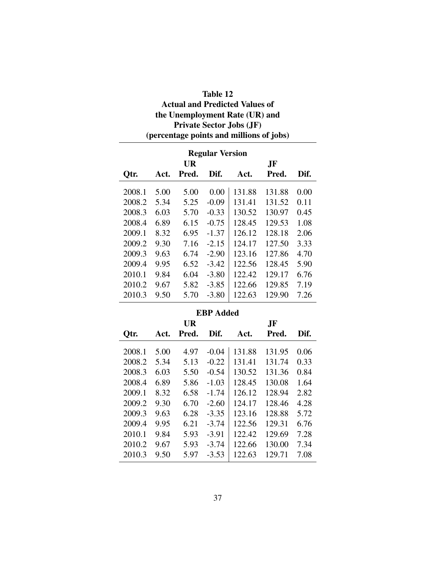| Table 12                                 |
|------------------------------------------|
| <b>Actual and Predicted Values of</b>    |
| the Unemployment Rate (UR) and           |
| <b>Private Sector Jobs (JF)</b>          |
| (percentage points and millions of jobs) |

| <b>Regular Version</b> |           |       |                  |        |        |      |  |  |  |  |  |
|------------------------|-----------|-------|------------------|--------|--------|------|--|--|--|--|--|
| <b>UR</b><br>JF        |           |       |                  |        |        |      |  |  |  |  |  |
| Otr.                   | Act.      | Pred. | Dif.             | Act.   | Pred.  | Dif. |  |  |  |  |  |
| 2008.1                 | 5.00      | 5.00  | 0.00             | 131.88 | 131.88 | 0.00 |  |  |  |  |  |
| 2008.2                 | 5.34      | 5.25  | $-0.09$          | 131.41 | 131.52 | 0.11 |  |  |  |  |  |
| 2008.3                 | 6.03      | 5.70  | $-0.33$          | 130.52 | 130.97 | 0.45 |  |  |  |  |  |
| 2008.4                 | 6.89      | 6.15  | $-0.75$          | 128.45 | 129.53 | 1.08 |  |  |  |  |  |
| 2009.1                 | 8.32      | 6.95  | $-1.37$          | 126.12 | 128.18 | 2.06 |  |  |  |  |  |
| 2009.2                 | 9.30      | 7.16  | $-2.15$          | 124.17 | 127.50 | 3.33 |  |  |  |  |  |
| 2009.3                 | 9.63      | 6.74  | $-2.90$          | 123.16 | 127.86 | 4.70 |  |  |  |  |  |
| 2009.4                 | 9.95      | 6.52  | $-3.42$          | 122.56 | 128.45 | 5.90 |  |  |  |  |  |
| 2010.1                 | 9.84      | 6.04  | $-3.80$          | 122.42 | 129.17 | 6.76 |  |  |  |  |  |
| 2010.2                 | 9.67      | 5.82  | $-3.85$          | 122.66 | 129.85 | 7.19 |  |  |  |  |  |
| 2010.3                 | 9.50      | 5.70  | $-3.80$          | 122.63 | 129.90 | 7.26 |  |  |  |  |  |
|                        |           |       | <b>EBP</b> Added |        |        |      |  |  |  |  |  |
|                        | UR<br>.JF |       |                  |        |        |      |  |  |  |  |  |

| Otr.   | Act. | Pred. | Dif.    | Act.   | Pred.  | Dif. |
|--------|------|-------|---------|--------|--------|------|
| 2008.1 | 5.00 | 4.97  | $-0.04$ | 131.88 | 131.95 | 0.06 |
| 2008.2 | 5.34 | 5.13  | $-0.22$ | 131.41 | 131.74 | 0.33 |
| 2008.3 | 6.03 | 5.50  | $-0.54$ | 130.52 | 131.36 | 0.84 |
| 2008.4 | 6.89 | 5.86  | $-1.03$ | 128.45 | 130.08 | 1.64 |
| 2009.1 | 8.32 | 6.58  | $-1.74$ | 126.12 | 128.94 | 2.82 |
| 2009.2 | 9.30 | 6.70  | $-2.60$ | 124.17 | 128.46 | 4.28 |
| 2009.3 | 9.63 | 6.28  | $-3.35$ | 123.16 | 128.88 | 5.72 |
| 2009.4 | 9.95 | 6.21  | $-3.74$ | 122.56 | 129.31 | 6.76 |
| 2010.1 | 9.84 | 5.93  | $-3.91$ | 122.42 | 129.69 | 7.28 |
| 2010.2 | 9.67 | 5.93  | $-3.74$ | 122.66 | 130.00 | 7.34 |
| 2010.3 | 9.50 | 5.97  | $-3.53$ | 122.63 | 129.71 | 7.08 |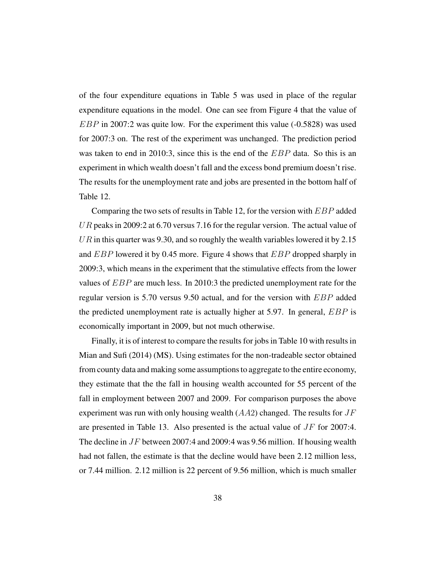of the four expenditure equations in Table 5 was used in place of the regular expenditure equations in the model. One can see from Figure 4 that the value of EBP in 2007:2 was quite low. For the experiment this value (-0.5828) was used for 2007:3 on. The rest of the experiment was unchanged. The prediction period was taken to end in 2010:3, since this is the end of the  $EBP$  data. So this is an experiment in which wealth doesn't fall and the excess bond premium doesn't rise. The results for the unemployment rate and jobs are presented in the bottom half of Table 12.

Comparing the two sets of results in Table 12, for the version with EBP added  $UR$  peaks in 2009:2 at 6.70 versus 7.16 for the regular version. The actual value of  $UR$  in this quarter was 9.30, and so roughly the wealth variables lowered it by 2.15 and  $EBP$  lowered it by 0.45 more. Figure 4 shows that  $EBP$  dropped sharply in 2009:3, which means in the experiment that the stimulative effects from the lower values of EBP are much less. In 2010:3 the predicted unemployment rate for the regular version is 5.70 versus 9.50 actual, and for the version with EBP added the predicted unemployment rate is actually higher at 5.97. In general,  $EBP$  is economically important in 2009, but not much otherwise.

Finally, it is of interest to compare the results for jobs in Table 10 with results in Mian and Sufi (2014) (MS). Using estimates for the non-tradeable sector obtained from county data and making some assumptions to aggregate to the entire economy, they estimate that the the fall in housing wealth accounted for 55 percent of the fall in employment between 2007 and 2009. For comparison purposes the above experiment was run with only housing wealth  $(AA2)$  changed. The results for  $JF$ are presented in Table 13. Also presented is the actual value of JF for 2007:4. The decline in JF between 2007:4 and 2009:4 was 9.56 million. If housing wealth had not fallen, the estimate is that the decline would have been 2.12 million less, or 7.44 million. 2.12 million is 22 percent of 9.56 million, which is much smaller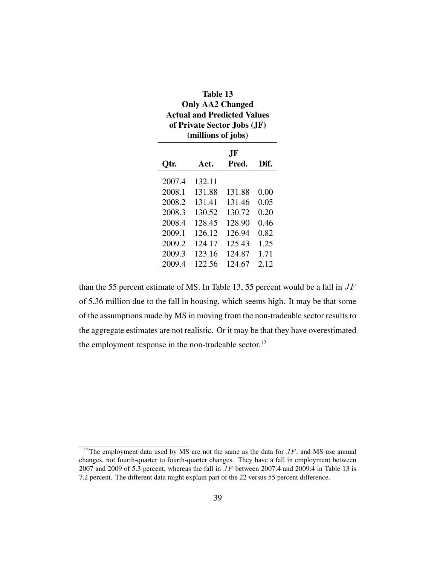| <b>Table 13</b><br><b>Only AA2 Changed</b><br><b>Actual and Predicted Values</b><br>of Private Sector Jobs (JF)<br>(millions of jobs) |        |              |      |
|---------------------------------------------------------------------------------------------------------------------------------------|--------|--------------|------|
| Qtr.                                                                                                                                  | Act.   | .JF<br>Pred. | Dif. |
| 2007.4                                                                                                                                | 132.11 |              |      |
| 2008.1                                                                                                                                | 131.88 | 131.88       | 0.00 |
| 2008.2                                                                                                                                | 131.41 | 131.46       | 0.05 |
| 2008.3                                                                                                                                | 130.52 | 130.72       | 0.20 |
| 2008.4                                                                                                                                | 128.45 | 128.90       | 0.46 |
| 2009.1                                                                                                                                | 126.12 | 126.94       | 0.82 |
| 2009.2                                                                                                                                | 124.17 | 125.43       | 1.25 |
| 2009.3                                                                                                                                | 123.16 | 124.87       | 1.71 |
| 2009.4                                                                                                                                | 122.56 | 124.67       | 2.12 |

than the 55 percent estimate of MS. In Table 13, 55 percent would be a fall in  $JF$ of 5.36 million due to the fall in housing, which seems high. It may be that some of the assumptions made by MS in moving from the non-tradeable sector results to the aggregate estimates are not realistic. Or it may be that they have overestimated the employment response in the non-tradeable sector.<sup>12</sup>

<sup>&</sup>lt;sup>12</sup>The employment data used by MS are not the same as the data for  $JF$ , and MS use annual changes, not fourth-quarter to fourth-quarter changes. They have a fall in employment between 2007 and 2009 of 5.3 percent, whereas the fall in  $JF$  between 2007:4 and 2009:4 in Table 13 is 7.2 percent. The different data might explain part of the 22 versus 55 percent difference.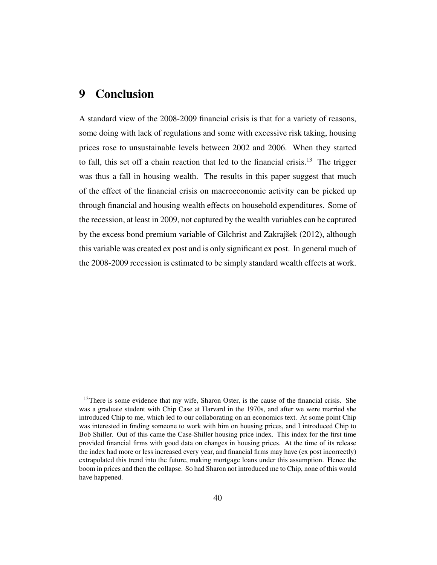### 9 Conclusion

A standard view of the 2008-2009 financial crisis is that for a variety of reasons, some doing with lack of regulations and some with excessive risk taking, housing prices rose to unsustainable levels between 2002 and 2006. When they started to fall, this set off a chain reaction that led to the financial crisis.<sup>13</sup> The trigger was thus a fall in housing wealth. The results in this paper suggest that much of the effect of the financial crisis on macroeconomic activity can be picked up through financial and housing wealth effects on household expenditures. Some of the recession, at least in 2009, not captured by the wealth variables can be captured by the excess bond premium variable of Gilchrist and Zakrajšek (2012), although this variable was created ex post and is only significant ex post. In general much of the 2008-2009 recession is estimated to be simply standard wealth effects at work.

<sup>&</sup>lt;sup>13</sup>There is some evidence that my wife, Sharon Oster, is the cause of the financial crisis. She was a graduate student with Chip Case at Harvard in the 1970s, and after we were married she introduced Chip to me, which led to our collaborating on an economics text. At some point Chip was interested in finding someone to work with him on housing prices, and I introduced Chip to Bob Shiller. Out of this came the Case-Shiller housing price index. This index for the first time provided financial firms with good data on changes in housing prices. At the time of its release the index had more or less increased every year, and financial firms may have (ex post incorrectly) extrapolated this trend into the future, making mortgage loans under this assumption. Hence the boom in prices and then the collapse. So had Sharon not introduced me to Chip, none of this would have happened.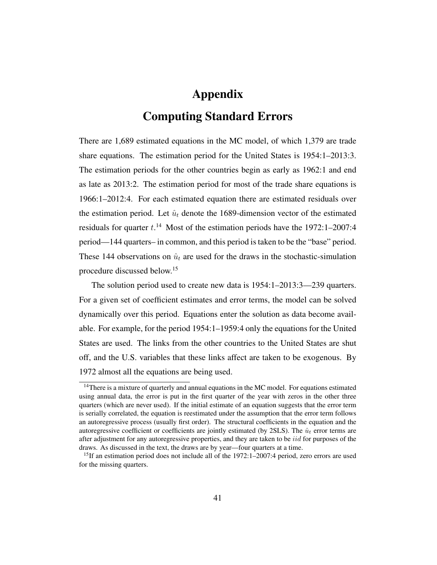### Appendix

### Computing Standard Errors

There are 1,689 estimated equations in the MC model, of which 1,379 are trade share equations. The estimation period for the United States is 1954:1–2013:3. The estimation periods for the other countries begin as early as 1962:1 and end as late as 2013:2. The estimation period for most of the trade share equations is 1966:1–2012:4. For each estimated equation there are estimated residuals over the estimation period. Let  $\hat{u}_t$  denote the 1689-dimension vector of the estimated residuals for quarter  $t.^{14}$  Most of the estimation periods have the 1972:1-2007:4 period—144 quarters– in common, and this period is taken to be the "base" period. These 144 observations on  $\hat{u}_t$  are used for the draws in the stochastic-simulation procedure discussed below.<sup>15</sup>

The solution period used to create new data is 1954:1–2013:3—239 quarters. For a given set of coefficient estimates and error terms, the model can be solved dynamically over this period. Equations enter the solution as data become available. For example, for the period 1954:1–1959:4 only the equations for the United States are used. The links from the other countries to the United States are shut off, and the U.S. variables that these links affect are taken to be exogenous. By 1972 almost all the equations are being used.

<sup>&</sup>lt;sup>14</sup>There is a mixture of quarterly and annual equations in the MC model. For equations estimated using annual data, the error is put in the first quarter of the year with zeros in the other three quarters (which are never used). If the initial estimate of an equation suggests that the error term is serially correlated, the equation is reestimated under the assumption that the error term follows an autoregressive process (usually first order). The structural coefficients in the equation and the autoregressive coefficient or coefficients are jointly estimated (by 2SLS). The  $\hat{u}_t$  error terms are after adjustment for any autoregressive properties, and they are taken to be *iid* for purposes of the draws. As discussed in the text, the draws are by year—four quarters at a time.

<sup>&</sup>lt;sup>15</sup>If an estimation period does not include all of the  $1972:1-2007:4$  period, zero errors are used for the missing quarters.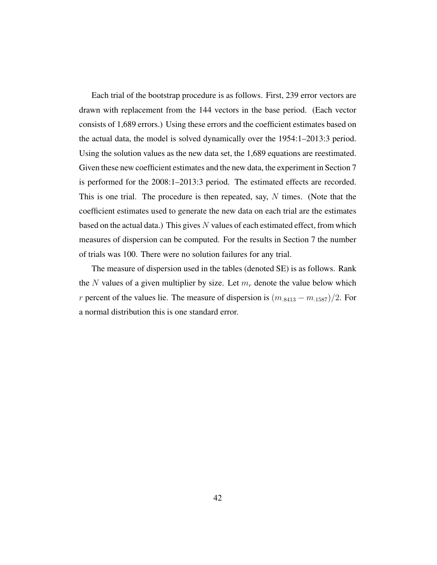Each trial of the bootstrap procedure is as follows. First, 239 error vectors are drawn with replacement from the 144 vectors in the base period. (Each vector consists of 1,689 errors.) Using these errors and the coefficient estimates based on the actual data, the model is solved dynamically over the 1954:1–2013:3 period. Using the solution values as the new data set, the 1,689 equations are reestimated. Given these new coefficient estimates and the new data, the experiment in Section 7 is performed for the 2008:1–2013:3 period. The estimated effects are recorded. This is one trial. The procedure is then repeated, say,  $N$  times. (Note that the coefficient estimates used to generate the new data on each trial are the estimates based on the actual data.) This gives  $N$  values of each estimated effect, from which measures of dispersion can be computed. For the results in Section 7 the number of trials was 100. There were no solution failures for any trial.

The measure of dispersion used in the tables (denoted SE) is as follows. Rank the N values of a given multiplier by size. Let  $m_r$  denote the value below which r percent of the values lie. The measure of dispersion is  $(m_{.8413} - m_{.1587})/2$ . For a normal distribution this is one standard error.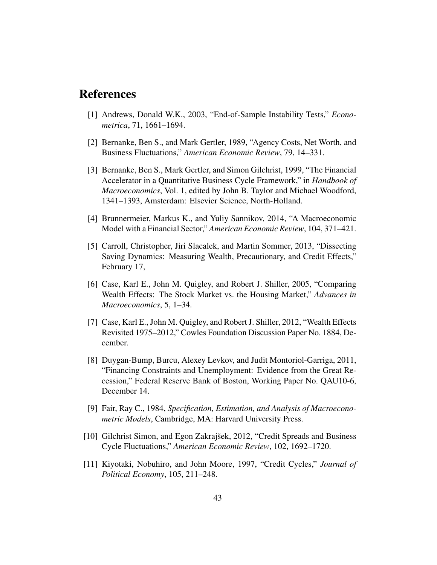### References

- [1] Andrews, Donald W.K., 2003, "End-of-Sample Instability Tests," *Econometrica*, 71, 1661–1694.
- [2] Bernanke, Ben S., and Mark Gertler, 1989, "Agency Costs, Net Worth, and Business Fluctuations," *American Economic Review*, 79, 14–331.
- [3] Bernanke, Ben S., Mark Gertler, and Simon Gilchrist, 1999, "The Financial Accelerator in a Quantitative Business Cycle Framework," in *Handbook of Macroeconomics*, Vol. 1, edited by John B. Taylor and Michael Woodford, 1341–1393, Amsterdam: Elsevier Science, North-Holland.
- [4] Brunnermeier, Markus K., and Yuliy Sannikov, 2014, "A Macroeconomic Model with a Financial Sector," *American Economic Review*, 104, 371–421.
- [5] Carroll, Christopher, Jiri Slacalek, and Martin Sommer, 2013, "Dissecting Saving Dynamics: Measuring Wealth, Precautionary, and Credit Effects," February 17,
- [6] Case, Karl E., John M. Quigley, and Robert J. Shiller, 2005, "Comparing Wealth Effects: The Stock Market vs. the Housing Market," *Advances in Macroeconomics*, 5, 1–34.
- [7] Case, Karl E., John M. Quigley, and Robert J. Shiller, 2012, "Wealth Effects Revisited 1975–2012," Cowles Foundation Discussion Paper No. 1884, December.
- [8] Duygan-Bump, Burcu, Alexey Levkov, and Judit Montoriol-Garriga, 2011, "Financing Constraints and Unemployment: Evidence from the Great Recession," Federal Reserve Bank of Boston, Working Paper No. QAU10-6, December 14.
- [9] Fair, Ray C., 1984, *Specification, Estimation, and Analysis of Macroeconometric Models*, Cambridge, MA: Harvard University Press.
- [10] Gilchrist Simon, and Egon Zakrajšek, 2012, "Credit Spreads and Business Cycle Fluctuations," *American Economic Review*, 102, 1692–1720.
- [11] Kiyotaki, Nobuhiro, and John Moore, 1997, "Credit Cycles," *Journal of Political Economy*, 105, 211–248.